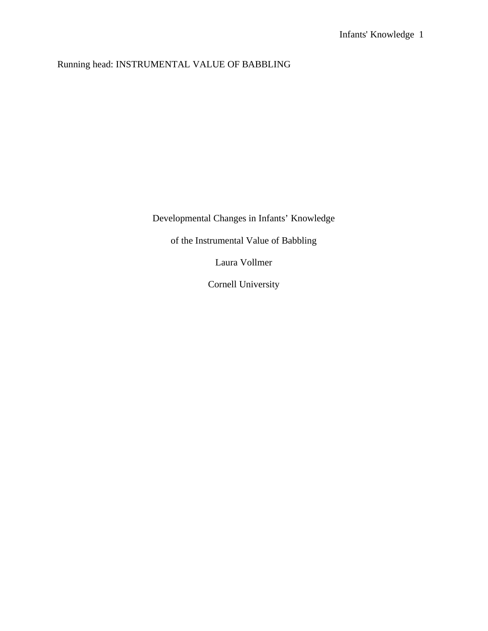# Running head: INSTRUMENTAL VALUE OF BABBLING

Developmental Changes in Infants' Knowledge

of the Instrumental Value of Babbling

Laura Vollmer

Cornell University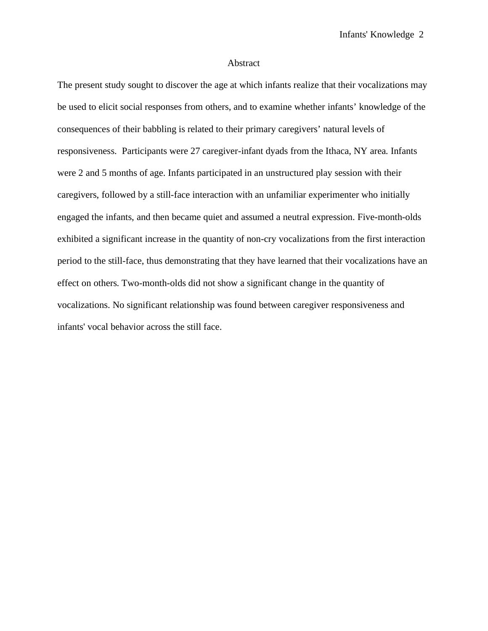### Abstract

The present study sought to discover the age at which infants realize that their vocalizations may be used to elicit social responses from others, and to examine whether infants' knowledge of the consequences of their babbling is related to their primary caregivers' natural levels of responsiveness. Participants were 27 caregiver-infant dyads from the Ithaca, NY area. Infants were 2 and 5 months of age. Infants participated in an unstructured play session with their caregivers, followed by a still-face interaction with an unfamiliar experimenter who initially engaged the infants, and then became quiet and assumed a neutral expression. Five-month-olds exhibited a significant increase in the quantity of non-cry vocalizations from the first interaction period to the still-face, thus demonstrating that they have learned that their vocalizations have an effect on others. Two-month-olds did not show a significant change in the quantity of vocalizations. No significant relationship was found between caregiver responsiveness and infants' vocal behavior across the still face.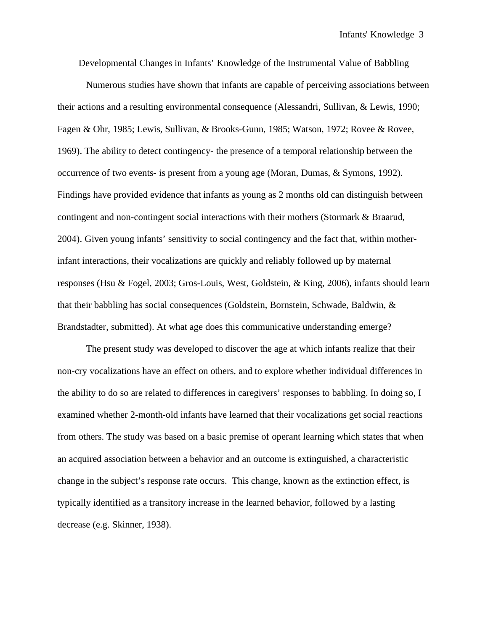Developmental Changes in Infants' Knowledge of the Instrumental Value of Babbling

Numerous studies have shown that infants are capable of perceiving associations between their actions and a resulting environmental consequence (Alessandri, Sullivan, & Lewis, 1990; Fagen & Ohr, 1985; Lewis, Sullivan, & Brooks-Gunn, 1985; Watson, 1972; Rovee & Rovee, 1969). The ability to detect contingency- the presence of a temporal relationship between the occurrence of two events- is present from a young age (Moran, Dumas, & Symons, 1992). Findings have provided evidence that infants as young as 2 months old can distinguish between contingent and non-contingent social interactions with their mothers (Stormark & Braarud, 2004). Given young infants' sensitivity to social contingency and the fact that, within motherinfant interactions, their vocalizations are quickly and reliably followed up by maternal responses (Hsu & Fogel, 2003; Gros-Louis, West, Goldstein, & King, 2006), infants should learn that their babbling has social consequences (Goldstein, Bornstein, Schwade, Baldwin, & Brandstadter, submitted). At what age does this communicative understanding emerge?

 The present study was developed to discover the age at which infants realize that their non-cry vocalizations have an effect on others, and to explore whether individual differences in the ability to do so are related to differences in caregivers' responses to babbling. In doing so, I examined whether 2-month-old infants have learned that their vocalizations get social reactions from others. The study was based on a basic premise of operant learning which states that when an acquired association between a behavior and an outcome is extinguished, a characteristic change in the subject's response rate occurs. This change, known as the extinction effect, is typically identified as a transitory increase in the learned behavior, followed by a lasting decrease (e.g. Skinner, 1938).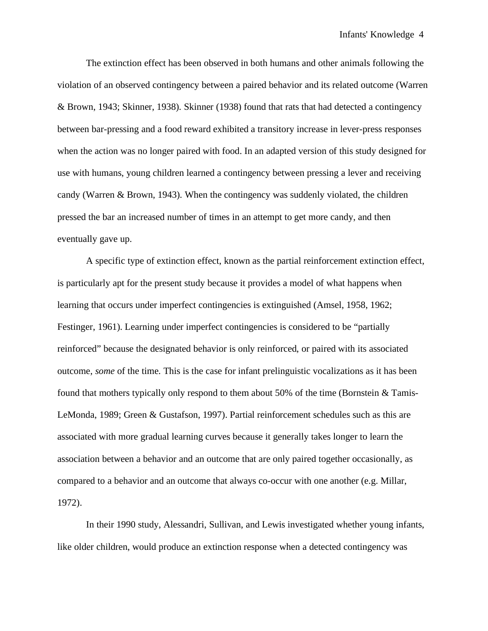The extinction effect has been observed in both humans and other animals following the violation of an observed contingency between a paired behavior and its related outcome (Warren & Brown, 1943; Skinner, 1938). Skinner (1938) found that rats that had detected a contingency between bar-pressing and a food reward exhibited a transitory increase in lever-press responses when the action was no longer paired with food. In an adapted version of this study designed for use with humans, young children learned a contingency between pressing a lever and receiving candy (Warren & Brown, 1943). When the contingency was suddenly violated, the children pressed the bar an increased number of times in an attempt to get more candy, and then eventually gave up.

 A specific type of extinction effect, known as the partial reinforcement extinction effect, is particularly apt for the present study because it provides a model of what happens when learning that occurs under imperfect contingencies is extinguished (Amsel, 1958, 1962; Festinger, 1961). Learning under imperfect contingencies is considered to be "partially reinforced" because the designated behavior is only reinforced, or paired with its associated outcome, *some* of the time. This is the case for infant prelinguistic vocalizations as it has been found that mothers typically only respond to them about 50% of the time (Bornstein & Tamis-LeMonda, 1989; Green & Gustafson, 1997). Partial reinforcement schedules such as this are associated with more gradual learning curves because it generally takes longer to learn the association between a behavior and an outcome that are only paired together occasionally, as compared to a behavior and an outcome that always co-occur with one another (e.g. Millar, 1972).

In their 1990 study, Alessandri, Sullivan, and Lewis investigated whether young infants, like older children, would produce an extinction response when a detected contingency was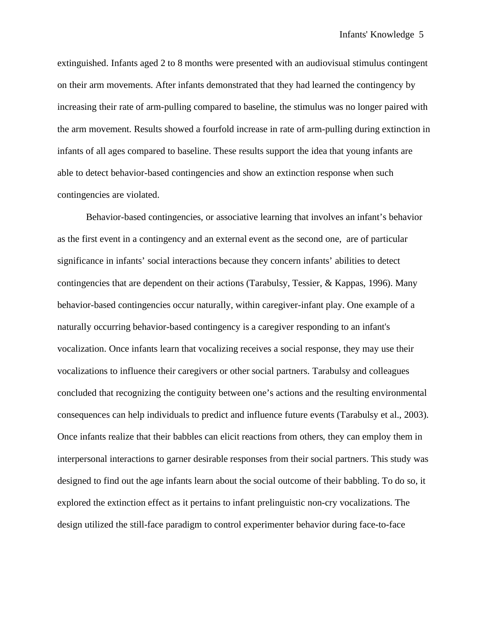extinguished. Infants aged 2 to 8 months were presented with an audiovisual stimulus contingent on their arm movements. After infants demonstrated that they had learned the contingency by increasing their rate of arm-pulling compared to baseline, the stimulus was no longer paired with the arm movement. Results showed a fourfold increase in rate of arm-pulling during extinction in infants of all ages compared to baseline. These results support the idea that young infants are able to detect behavior-based contingencies and show an extinction response when such contingencies are violated.

Behavior-based contingencies, or associative learning that involves an infant's behavior as the first event in a contingency and an external event as the second one, are of particular significance in infants' social interactions because they concern infants' abilities to detect contingencies that are dependent on their actions (Tarabulsy, Tessier, & Kappas, 1996). Many behavior-based contingencies occur naturally, within caregiver-infant play. One example of a naturally occurring behavior-based contingency is a caregiver responding to an infant's vocalization. Once infants learn that vocalizing receives a social response, they may use their vocalizations to influence their caregivers or other social partners. Tarabulsy and colleagues concluded that recognizing the contiguity between one's actions and the resulting environmental consequences can help individuals to predict and influence future events (Tarabulsy et al., 2003). Once infants realize that their babbles can elicit reactions from others, they can employ them in interpersonal interactions to garner desirable responses from their social partners. This study was designed to find out the age infants learn about the social outcome of their babbling. To do so, it explored the extinction effect as it pertains to infant prelinguistic non-cry vocalizations. The design utilized the still-face paradigm to control experimenter behavior during face-to-face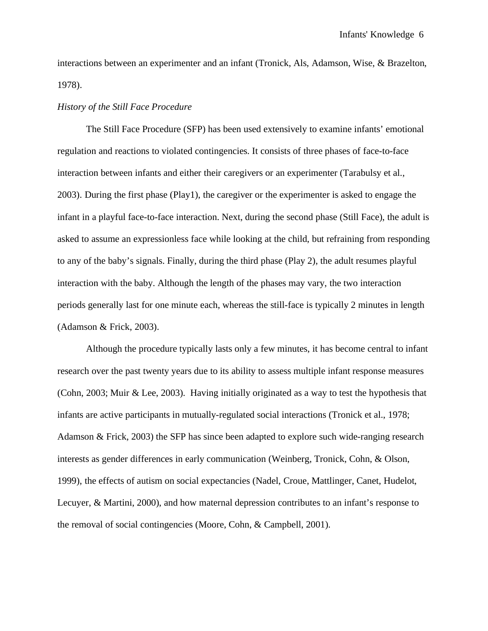interactions between an experimenter and an infant (Tronick, Als, Adamson, Wise, & Brazelton, 1978).

### *History of the Still Face Procedure*

The Still Face Procedure (SFP) has been used extensively to examine infants' emotional regulation and reactions to violated contingencies. It consists of three phases of face-to-face interaction between infants and either their caregivers or an experimenter (Tarabulsy et al., 2003). During the first phase (Play1), the caregiver or the experimenter is asked to engage the infant in a playful face-to-face interaction. Next, during the second phase (Still Face), the adult is asked to assume an expressionless face while looking at the child, but refraining from responding to any of the baby's signals. Finally, during the third phase (Play 2), the adult resumes playful interaction with the baby. Although the length of the phases may vary, the two interaction periods generally last for one minute each, whereas the still-face is typically 2 minutes in length (Adamson & Frick, 2003).

Although the procedure typically lasts only a few minutes, it has become central to infant research over the past twenty years due to its ability to assess multiple infant response measures (Cohn, 2003; Muir & Lee, 2003). Having initially originated as a way to test the hypothesis that infants are active participants in mutually-regulated social interactions (Tronick et al., 1978; Adamson & Frick, 2003) the SFP has since been adapted to explore such wide-ranging research interests as gender differences in early communication (Weinberg, Tronick, Cohn, & Olson, 1999), the effects of autism on social expectancies (Nadel, Croue, Mattlinger, Canet, Hudelot, Lecuyer, & Martini, 2000), and how maternal depression contributes to an infant's response to the removal of social contingencies (Moore, Cohn, & Campbell, 2001).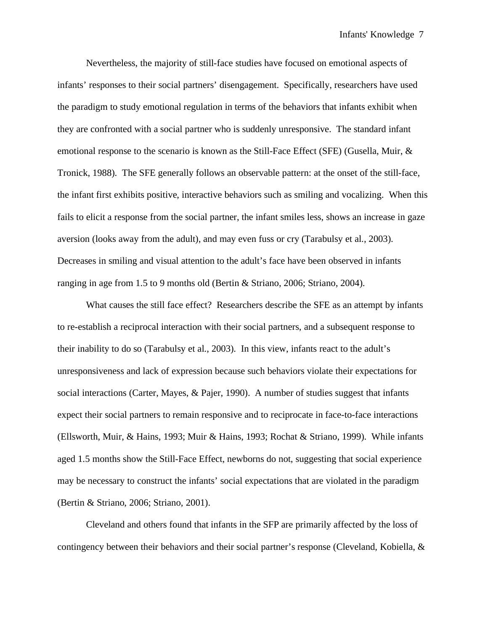Nevertheless, the majority of still-face studies have focused on emotional aspects of infants' responses to their social partners' disengagement. Specifically, researchers have used the paradigm to study emotional regulation in terms of the behaviors that infants exhibit when they are confronted with a social partner who is suddenly unresponsive. The standard infant emotional response to the scenario is known as the Still-Face Effect (SFE) (Gusella, Muir, & Tronick, 1988). The SFE generally follows an observable pattern: at the onset of the still-face, the infant first exhibits positive, interactive behaviors such as smiling and vocalizing. When this fails to elicit a response from the social partner, the infant smiles less, shows an increase in gaze aversion (looks away from the adult), and may even fuss or cry (Tarabulsy et al., 2003). Decreases in smiling and visual attention to the adult's face have been observed in infants ranging in age from 1.5 to 9 months old (Bertin & Striano, 2006; Striano, 2004).

What causes the still face effect? Researchers describe the SFE as an attempt by infants to re-establish a reciprocal interaction with their social partners, and a subsequent response to their inability to do so (Tarabulsy et al., 2003). In this view, infants react to the adult's unresponsiveness and lack of expression because such behaviors violate their expectations for social interactions (Carter, Mayes, & Pajer, 1990). A number of studies suggest that infants expect their social partners to remain responsive and to reciprocate in face-to-face interactions (Ellsworth, Muir, & Hains, 1993; Muir & Hains, 1993; Rochat & Striano, 1999). While infants aged 1.5 months show the Still-Face Effect, newborns do not, suggesting that social experience may be necessary to construct the infants' social expectations that are violated in the paradigm (Bertin & Striano, 2006; Striano, 2001).

Cleveland and others found that infants in the SFP are primarily affected by the loss of contingency between their behaviors and their social partner's response (Cleveland, Kobiella, &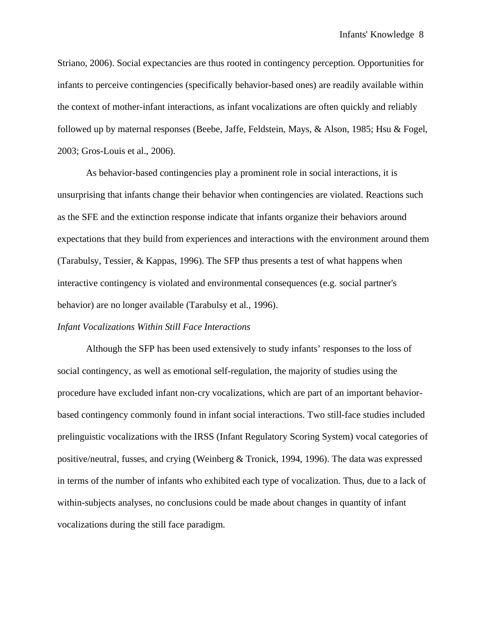Striano, 2006). Social expectancies are thus rooted in contingency perception. Opportunities for infants to perceive contingencies (specifically behavior-based ones) are readily available within the context of mother-infant interactions, as infant vocalizations are often quickly and reliably followed up by maternal responses (Beebe, Jaffe, Feldstein, Mays, & Alson, 1985; Hsu & Fogel, 2003; Gros-Louis et al., 2006).

As behavior-based contingencies play a prominent role in social interactions, it is unsurprising that infants change their behavior when contingencies are violated. Reactions such as the SFE and the extinction response indicate that infants organize their behaviors around expectations that they build from experiences and interactions with the environment around them (Tarabulsy, Tessier, & Kappas, 1996). The SFP thus presents a test of what happens when interactive contingency is violated and environmental consequences (e.g. social partner's behavior) are no longer available (Tarabulsy et al., 1996).

### *Infant Vocalizations Within Still Face Interactions*

Although the SFP has been used extensively to study infants' responses to the loss of social contingency, as well as emotional self-regulation, the majority of studies using the procedure have excluded infant non-cry vocalizations, which are part of an important behaviorbased contingency commonly found in infant social interactions. Two still-face studies included prelinguistic vocalizations with the IRSS (Infant Regulatory Scoring System) vocal categories of positive/neutral, fusses, and crying (Weinberg & Tronick, 1994, 1996). The data was expressed in terms of the number of infants who exhibited each type of vocalization. Thus, due to a lack of within-subjects analyses, no conclusions could be made about changes in quantity of infant vocalizations during the still face paradigm.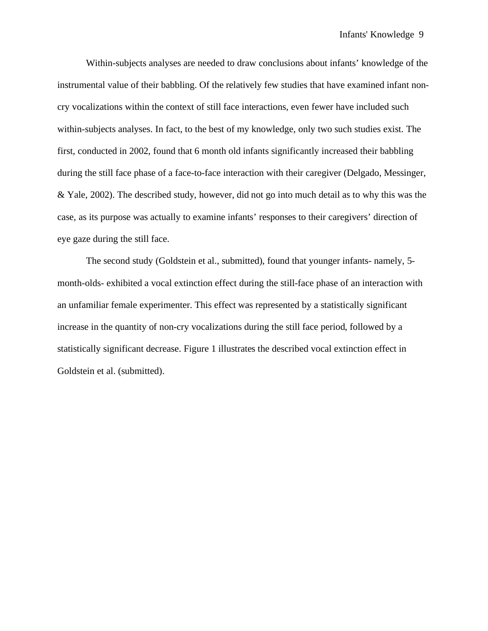Within-subjects analyses are needed to draw conclusions about infants' knowledge of the instrumental value of their babbling. Of the relatively few studies that have examined infant noncry vocalizations within the context of still face interactions, even fewer have included such within-subjects analyses. In fact, to the best of my knowledge, only two such studies exist. The first, conducted in 2002, found that 6 month old infants significantly increased their babbling during the still face phase of a face-to-face interaction with their caregiver (Delgado, Messinger, & Yale, 2002). The described study, however, did not go into much detail as to why this was the case, as its purpose was actually to examine infants' responses to their caregivers' direction of eye gaze during the still face.

The second study (Goldstein et al., submitted), found that younger infants- namely, 5 month-olds- exhibited a vocal extinction effect during the still-face phase of an interaction with an unfamiliar female experimenter. This effect was represented by a statistically significant increase in the quantity of non-cry vocalizations during the still face period, followed by a statistically significant decrease. Figure 1 illustrates the described vocal extinction effect in Goldstein et al. (submitted).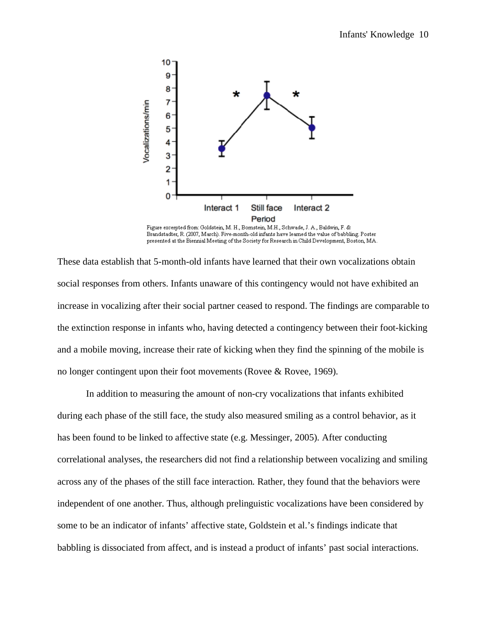

Figure excerpted from: Goldstein, M. H., Bornstein, M.H., Schwade, J. A., Baldwin, F. & Brandstadter, R. (2007, March). Five-month-old infants have learned the value of babbling. Poster presented at the Biennial Meeting of the Society for Research in Child Development, Boston, MA.

These data establish that 5-month-old infants have learned that their own vocalizations obtain social responses from others. Infants unaware of this contingency would not have exhibited an increase in vocalizing after their social partner ceased to respond. The findings are comparable to the extinction response in infants who, having detected a contingency between their foot-kicking and a mobile moving, increase their rate of kicking when they find the spinning of the mobile is no longer contingent upon their foot movements (Rovee & Rovee, 1969).

 In addition to measuring the amount of non-cry vocalizations that infants exhibited during each phase of the still face, the study also measured smiling as a control behavior, as it has been found to be linked to affective state (e.g. Messinger, 2005). After conducting correlational analyses, the researchers did not find a relationship between vocalizing and smiling across any of the phases of the still face interaction. Rather, they found that the behaviors were independent of one another. Thus, although prelinguistic vocalizations have been considered by some to be an indicator of infants' affective state, Goldstein et al.'s findings indicate that babbling is dissociated from affect, and is instead a product of infants' past social interactions.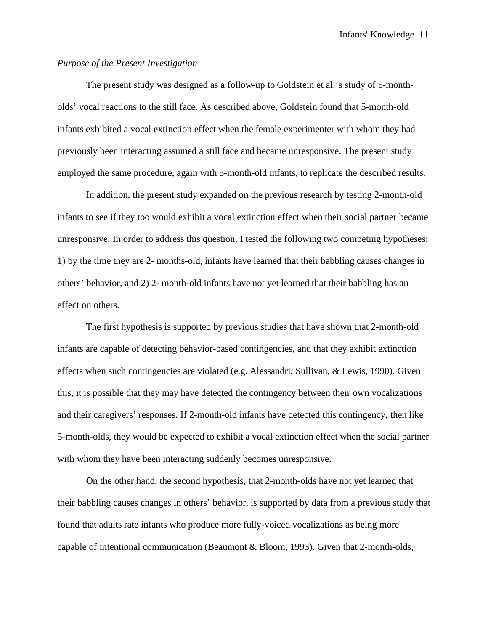## *Purpose of the Present Investigation*

 The present study was designed as a follow-up to Goldstein et al.'s study of 5-montholds' vocal reactions to the still face. As described above, Goldstein found that 5-month-old infants exhibited a vocal extinction effect when the female experimenter with whom they had previously been interacting assumed a still face and became unresponsive. The present study employed the same procedure, again with 5-month-old infants, to replicate the described results.

In addition, the present study expanded on the previous research by testing 2-month-old infants to see if they too would exhibit a vocal extinction effect when their social partner became unresponsive. In order to address this question, I tested the following two competing hypotheses: 1) by the time they are 2- months-old, infants have learned that their babbling causes changes in others' behavior, and 2) 2- month-old infants have not yet learned that their babbling has an effect on others.

The first hypothesis is supported by previous studies that have shown that 2-month-old infants are capable of detecting behavior-based contingencies, and that they exhibit extinction effects when such contingencies are violated (e.g. Alessandri, Sullivan, & Lewis, 1990). Given this, it is possible that they may have detected the contingency between their own vocalizations and their caregivers' responses. If 2-month-old infants have detected this contingency, then like 5-month-olds, they would be expected to exhibit a vocal extinction effect when the social partner with whom they have been interacting suddenly becomes unresponsive.

On the other hand, the second hypothesis, that 2-month-olds have not yet learned that their babbling causes changes in others' behavior, is supported by data from a previous study that found that adults rate infants who produce more fully-voiced vocalizations as being more capable of intentional communication (Beaumont & Bloom, 1993). Given that 2-month-olds,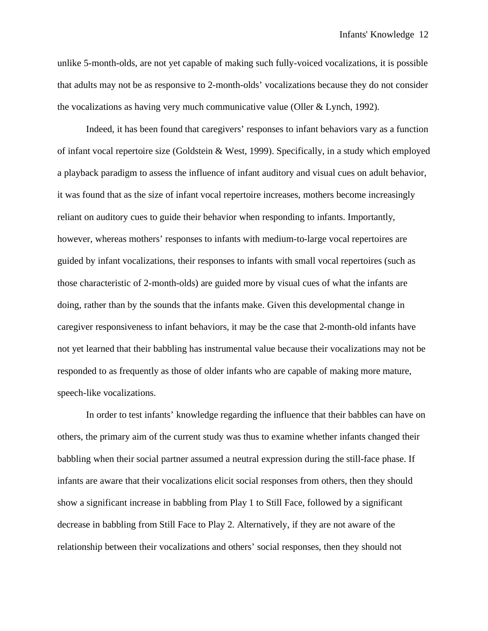unlike 5-month-olds, are not yet capable of making such fully-voiced vocalizations, it is possible that adults may not be as responsive to 2-month-olds' vocalizations because they do not consider the vocalizations as having very much communicative value (Oller & Lynch, 1992).

Indeed, it has been found that caregivers' responses to infant behaviors vary as a function of infant vocal repertoire size (Goldstein & West, 1999). Specifically, in a study which employed a playback paradigm to assess the influence of infant auditory and visual cues on adult behavior, it was found that as the size of infant vocal repertoire increases, mothers become increasingly reliant on auditory cues to guide their behavior when responding to infants. Importantly, however, whereas mothers' responses to infants with medium-to-large vocal repertoires are guided by infant vocalizations, their responses to infants with small vocal repertoires (such as those characteristic of 2-month-olds) are guided more by visual cues of what the infants are doing, rather than by the sounds that the infants make. Given this developmental change in caregiver responsiveness to infant behaviors, it may be the case that 2-month-old infants have not yet learned that their babbling has instrumental value because their vocalizations may not be responded to as frequently as those of older infants who are capable of making more mature, speech-like vocalizations.

In order to test infants' knowledge regarding the influence that their babbles can have on others, the primary aim of the current study was thus to examine whether infants changed their babbling when their social partner assumed a neutral expression during the still-face phase. If infants are aware that their vocalizations elicit social responses from others, then they should show a significant increase in babbling from Play 1 to Still Face, followed by a significant decrease in babbling from Still Face to Play 2. Alternatively, if they are not aware of the relationship between their vocalizations and others' social responses, then they should not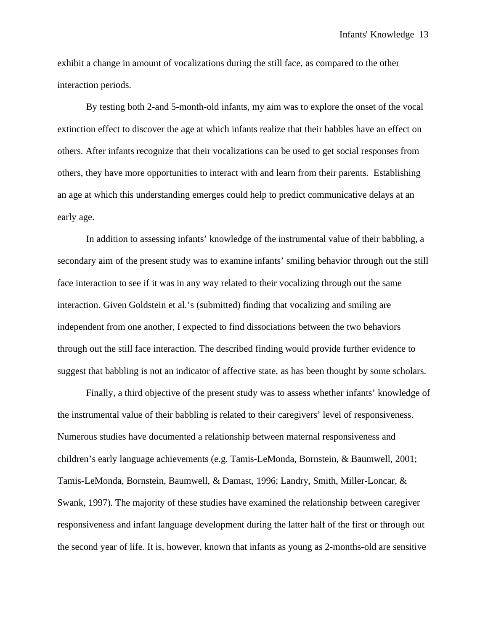exhibit a change in amount of vocalizations during the still face, as compared to the other interaction periods.

By testing both 2-and 5-month-old infants, my aim was to explore the onset of the vocal extinction effect to discover the age at which infants realize that their babbles have an effect on others. After infants recognize that their vocalizations can be used to get social responses from others, they have more opportunities to interact with and learn from their parents. Establishing an age at which this understanding emerges could help to predict communicative delays at an early age.

In addition to assessing infants' knowledge of the instrumental value of their babbling, a secondary aim of the present study was to examine infants' smiling behavior through out the still face interaction to see if it was in any way related to their vocalizing through out the same interaction. Given Goldstein et al.'s (submitted) finding that vocalizing and smiling are independent from one another, I expected to find dissociations between the two behaviors through out the still face interaction. The described finding would provide further evidence to suggest that babbling is not an indicator of affective state, as has been thought by some scholars.

Finally, a third objective of the present study was to assess whether infants' knowledge of the instrumental value of their babbling is related to their caregivers' level of responsiveness. Numerous studies have documented a relationship between maternal responsiveness and children's early language achievements (e.g. Tamis-LeMonda, Bornstein, & Baumwell, 2001; Tamis-LeMonda, Bornstein, Baumwell, & Damast, 1996; Landry, Smith, Miller-Loncar, & Swank, 1997). The majority of these studies have examined the relationship between caregiver responsiveness and infant language development during the latter half of the first or through out the second year of life. It is, however, known that infants as young as 2-months-old are sensitive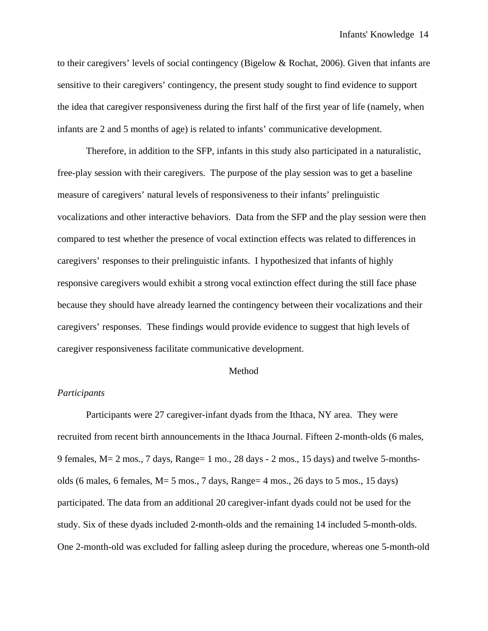to their caregivers' levels of social contingency (Bigelow & Rochat, 2006). Given that infants are sensitive to their caregivers' contingency, the present study sought to find evidence to support the idea that caregiver responsiveness during the first half of the first year of life (namely, when infants are 2 and 5 months of age) is related to infants' communicative development.

Therefore, in addition to the SFP, infants in this study also participated in a naturalistic, free-play session with their caregivers. The purpose of the play session was to get a baseline measure of caregivers' natural levels of responsiveness to their infants' prelinguistic vocalizations and other interactive behaviors. Data from the SFP and the play session were then compared to test whether the presence of vocal extinction effects was related to differences in caregivers' responses to their prelinguistic infants. I hypothesized that infants of highly responsive caregivers would exhibit a strong vocal extinction effect during the still face phase because they should have already learned the contingency between their vocalizations and their caregivers' responses. These findings would provide evidence to suggest that high levels of caregiver responsiveness facilitate communicative development.

### Method

### *Participants*

Participants were 27 caregiver-infant dyads from the Ithaca, NY area. They were recruited from recent birth announcements in the Ithaca Journal. Fifteen 2-month-olds (6 males, 9 females, M= 2 mos., 7 days, Range= 1 mo., 28 days - 2 mos., 15 days) and twelve 5-monthsolds (6 males, 6 females, M= 5 mos., 7 days, Range= 4 mos., 26 days to 5 mos., 15 days) participated. The data from an additional 20 caregiver-infant dyads could not be used for the study. Six of these dyads included 2-month-olds and the remaining 14 included 5-month-olds. One 2-month-old was excluded for falling asleep during the procedure, whereas one 5-month-old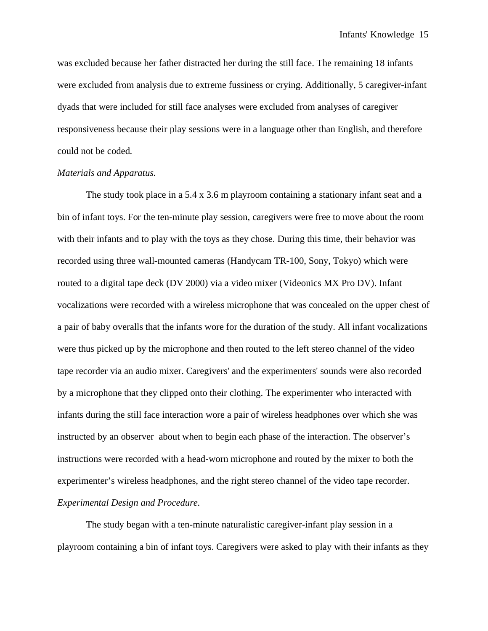was excluded because her father distracted her during the still face. The remaining 18 infants were excluded from analysis due to extreme fussiness or crying. Additionally, 5 caregiver-infant dyads that were included for still face analyses were excluded from analyses of caregiver responsiveness because their play sessions were in a language other than English, and therefore could not be coded.

### *Materials and Apparatus.*

The study took place in a 5.4 x 3.6 m playroom containing a stationary infant seat and a bin of infant toys. For the ten-minute play session, caregivers were free to move about the room with their infants and to play with the toys as they chose. During this time, their behavior was recorded using three wall-mounted cameras (Handycam TR-100, Sony, Tokyo) which were routed to a digital tape deck (DV 2000) via a video mixer (Videonics MX Pro DV). Infant vocalizations were recorded with a wireless microphone that was concealed on the upper chest of a pair of baby overalls that the infants wore for the duration of the study. All infant vocalizations were thus picked up by the microphone and then routed to the left stereo channel of the video tape recorder via an audio mixer. Caregivers' and the experimenters' sounds were also recorded by a microphone that they clipped onto their clothing. The experimenter who interacted with infants during the still face interaction wore a pair of wireless headphones over which she was instructed by an observer about when to begin each phase of the interaction. The observer's instructions were recorded with a head-worn microphone and routed by the mixer to both the experimenter's wireless headphones, and the right stereo channel of the video tape recorder. *Experimental Design and Procedure.* 

The study began with a ten-minute naturalistic caregiver-infant play session in a playroom containing a bin of infant toys. Caregivers were asked to play with their infants as they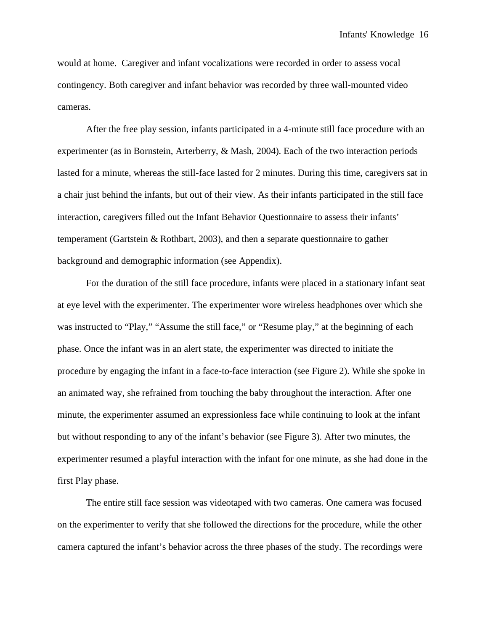would at home. Caregiver and infant vocalizations were recorded in order to assess vocal contingency. Both caregiver and infant behavior was recorded by three wall-mounted video cameras.

 After the free play session, infants participated in a 4-minute still face procedure with an experimenter (as in Bornstein, Arterberry, & Mash, 2004). Each of the two interaction periods lasted for a minute, whereas the still-face lasted for 2 minutes. During this time, caregivers sat in a chair just behind the infants, but out of their view. As their infants participated in the still face interaction, caregivers filled out the Infant Behavior Questionnaire to assess their infants' temperament (Gartstein & Rothbart, 2003), and then a separate questionnaire to gather background and demographic information (see Appendix).

 For the duration of the still face procedure, infants were placed in a stationary infant seat at eye level with the experimenter. The experimenter wore wireless headphones over which she was instructed to "Play," "Assume the still face," or "Resume play," at the beginning of each phase. Once the infant was in an alert state, the experimenter was directed to initiate the procedure by engaging the infant in a face-to-face interaction (see Figure 2). While she spoke in an animated way, she refrained from touching the baby throughout the interaction. After one minute, the experimenter assumed an expressionless face while continuing to look at the infant but without responding to any of the infant's behavior (see Figure 3). After two minutes, the experimenter resumed a playful interaction with the infant for one minute, as she had done in the first Play phase.

 The entire still face session was videotaped with two cameras. One camera was focused on the experimenter to verify that she followed the directions for the procedure, while the other camera captured the infant's behavior across the three phases of the study. The recordings were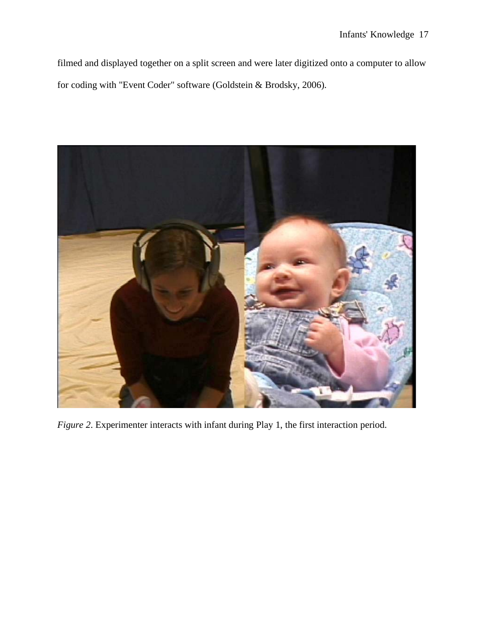filmed and displayed together on a split screen and were later digitized onto a computer to allow for coding with "Event Coder" software (Goldstein & Brodsky, 2006).



*Figure 2*. Experimenter interacts with infant during Play 1, the first interaction period.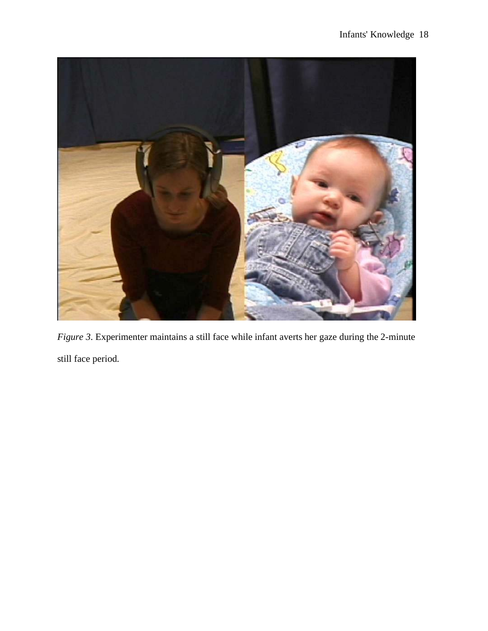

*Figure 3*. Experimenter maintains a still face while infant averts her gaze during the 2-minute still face period.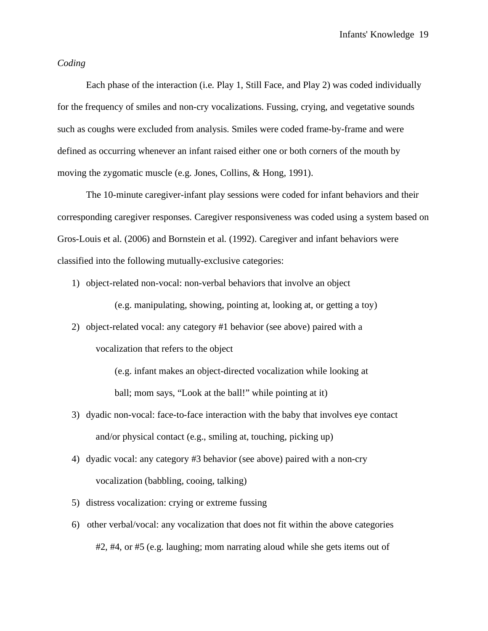### *Coding*

 Each phase of the interaction (i.e. Play 1, Still Face, and Play 2) was coded individually for the frequency of smiles and non-cry vocalizations. Fussing, crying, and vegetative sounds such as coughs were excluded from analysis. Smiles were coded frame-by-frame and were defined as occurring whenever an infant raised either one or both corners of the mouth by moving the zygomatic muscle (e.g. Jones, Collins, & Hong, 1991).

 The 10-minute caregiver-infant play sessions were coded for infant behaviors and their corresponding caregiver responses. Caregiver responsiveness was coded using a system based on Gros-Louis et al. (2006) and Bornstein et al. (1992). Caregiver and infant behaviors were classified into the following mutually-exclusive categories:

1) object-related non-vocal: non-verbal behaviors that involve an object

(e.g. manipulating, showing, pointing at, looking at, or getting a toy)

2) object-related vocal: any category #1 behavior (see above) paired with a vocalization that refers to the object

> (e.g. infant makes an object-directed vocalization while looking at ball; mom says, "Look at the ball!" while pointing at it)

- 3) dyadic non-vocal: face-to-face interaction with the baby that involves eye contact and/or physical contact (e.g., smiling at, touching, picking up)
- 4) dyadic vocal: any category #3 behavior (see above) paired with a non-cry vocalization (babbling, cooing, talking)
- 5) distress vocalization: crying or extreme fussing
- 6) other verbal/vocal: any vocalization that does not fit within the above categories #2, #4, or #5 (e.g. laughing; mom narrating aloud while she gets items out of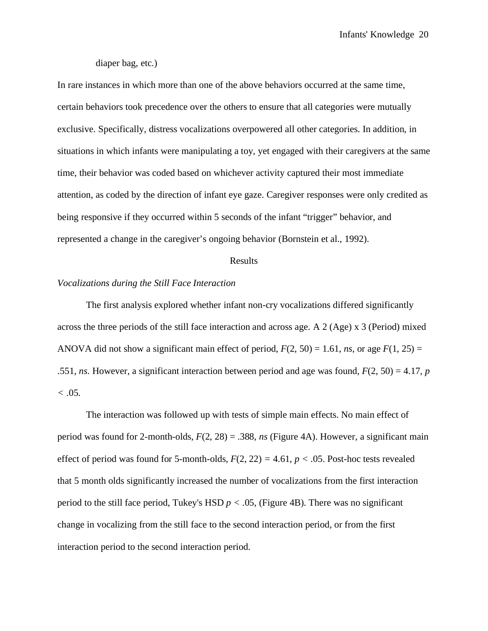### diaper bag, etc.)

In rare instances in which more than one of the above behaviors occurred at the same time, certain behaviors took precedence over the others to ensure that all categories were mutually exclusive. Specifically, distress vocalizations overpowered all other categories. In addition, in situations in which infants were manipulating a toy, yet engaged with their caregivers at the same time, their behavior was coded based on whichever activity captured their most immediate attention, as coded by the direction of infant eye gaze. Caregiver responses were only credited as being responsive if they occurred within 5 seconds of the infant "trigger" behavior, and represented a change in the caregiver's ongoing behavior (Bornstein et al., 1992).

### Results

## *Vocalizations during the Still Face Interaction*

 The first analysis explored whether infant non-cry vocalizations differed significantly across the three periods of the still face interaction and across age. A 2 (Age) x 3 (Period) mixed ANOVA did not show a significant main effect of period,  $F(2, 50) = 1.61$ , *ns*, or age  $F(1, 25) =$ .551, *ns*. However, a significant interaction between period and age was found, *F*(2, 50) = 4.17, *p*   $< 0.05$ .

 The interaction was followed up with tests of simple main effects. No main effect of period was found for 2-month-olds, *F*(2, 28) = .388, *ns* (Figure 4A). However, a significant main effect of period was found for 5-month-olds,  $F(2, 22) = 4.61$ ,  $p < .05$ . Post-hoc tests revealed that 5 month olds significantly increased the number of vocalizations from the first interaction period to the still face period, Tukey's HSD  $p < .05$ , (Figure 4B). There was no significant change in vocalizing from the still face to the second interaction period, or from the first interaction period to the second interaction period.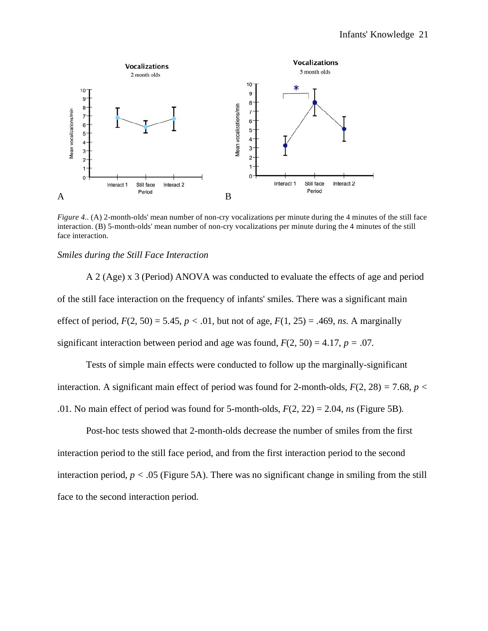

*Figure 4.*. (A) 2-month-olds' mean number of non-cry vocalizations per minute during the 4 minutes of the still face interaction. (B) 5-month-olds' mean number of non-cry vocalizations per minute during the 4 minutes of the still face interaction.

### *Smiles during the Still Face Interaction*

 A 2 (Age) x 3 (Period) ANOVA was conducted to evaluate the effects of age and period of the still face interaction on the frequency of infants' smiles. There was a significant main effect of period,  $F(2, 50) = 5.45$ ,  $p < .01$ , but not of age,  $F(1, 25) = .469$ , *ns*. A marginally significant interaction between period and age was found,  $F(2, 50) = 4.17$ ,  $p = .07$ .

 Tests of simple main effects were conducted to follow up the marginally-significant interaction. A significant main effect of period was found for 2-month-olds,  $F(2, 28) = 7.68$ ,  $p <$ .01. No main effect of period was found for 5-month-olds, *F*(2, 22) = 2.04, *ns* (Figure 5B)*.*

 Post-hoc tests showed that 2-month-olds decrease the number of smiles from the first interaction period to the still face period, and from the first interaction period to the second interaction period,  $p < .05$  (Figure 5A). There was no significant change in smiling from the still face to the second interaction period.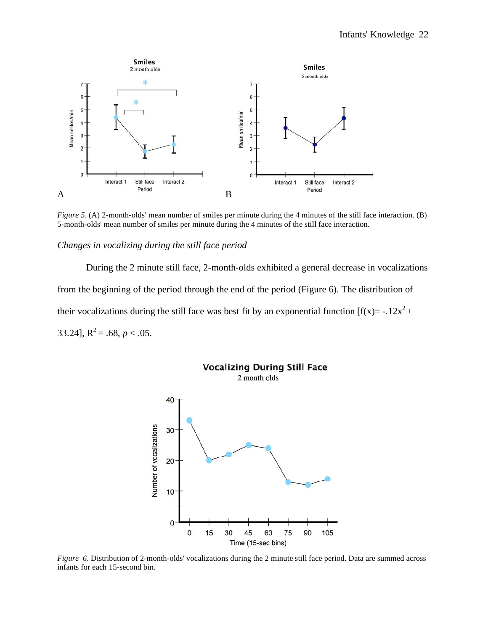

*Figure 5*. (A) 2-month-olds' mean number of smiles per minute during the 4 minutes of the still face interaction. (B) 5-month-olds' mean number of smiles per minute during the 4 minutes of the still face interaction.

## *Changes in vocalizing during the still face period*

During the 2 minute still face, 2-month-olds exhibited a general decrease in vocalizations from the beginning of the period through the end of the period (Figure 6). The distribution of their vocalizations during the still face was best fit by an exponential function  $[f(x) = -12x^2 +$ 33.24],  $R^2 = .68$ ,  $p < .05$ .



*Figure 6*. Distribution of 2-month-olds' vocalizations during the 2 minute still face period. Data are summed across infants for each 15-second bin.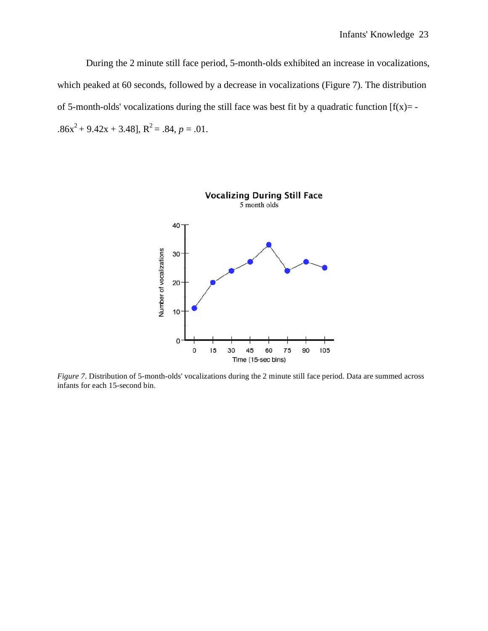During the 2 minute still face period, 5-month-olds exhibited an increase in vocalizations, which peaked at 60 seconds, followed by a decrease in vocalizations (Figure 7). The distribution of 5-month-olds' vocalizations during the still face was best fit by a quadratic function  $[f(x)] = .86x^2 + 9.42x + 3.48$ ,  $R^2 = .84$ ,  $p = .01$ .



*Figure 7*. Distribution of 5-month-olds' vocalizations during the 2 minute still face period. Data are summed across infants for each 15-second bin.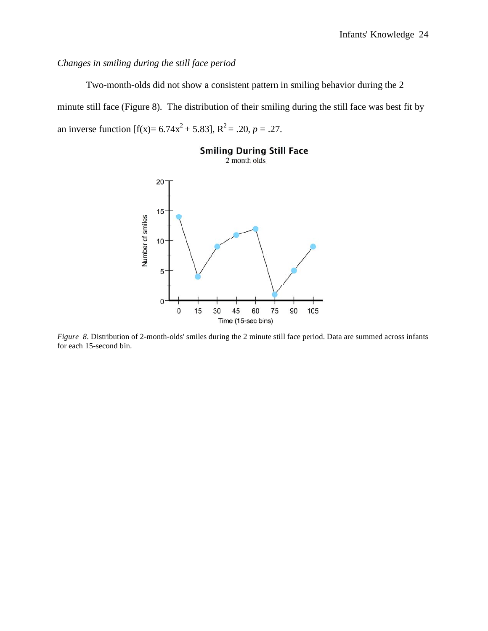# *Changes in smiling during the still face period*

Two-month-olds did not show a consistent pattern in smiling behavior during the 2 minute still face (Figure 8). The distribution of their smiling during the still face was best fit by an inverse function  $[f(x)= 6.74x^2 + 5.83]$ ,  $R^2 = .20$ ,  $p = .27$ .



*Figure 8*. Distribution of 2-month-olds' smiles during the 2 minute still face period. Data are summed across infants for each 15-second bin.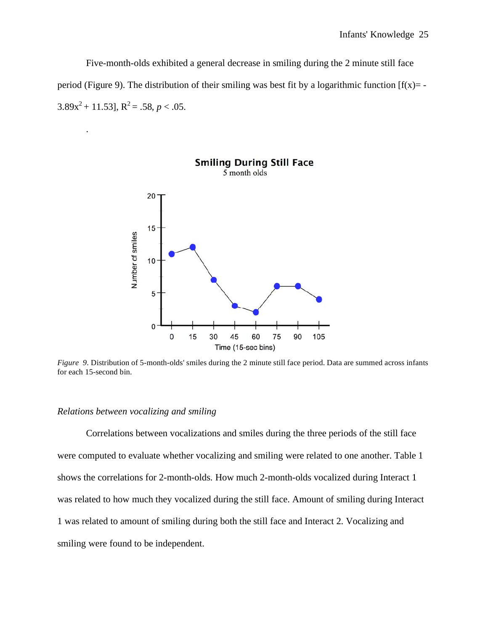Five-month-olds exhibited a general decrease in smiling during the 2 minute still face period (Figure 9). The distribution of their smiling was best fit by a logarithmic function  $[f(x)] = 3.89x^{2} + 11.53$ ,  $R^{2} = .58$ ,  $p < .05$ .



*Figure 9*. Distribution of 5-month-olds' smiles during the 2 minute still face period. Data are summed across infants for each 15-second bin.

### *Relations between vocalizing and smiling*

.

 Correlations between vocalizations and smiles during the three periods of the still face were computed to evaluate whether vocalizing and smiling were related to one another. Table 1 shows the correlations for 2-month-olds. How much 2-month-olds vocalized during Interact 1 was related to how much they vocalized during the still face. Amount of smiling during Interact 1 was related to amount of smiling during both the still face and Interact 2. Vocalizing and smiling were found to be independent.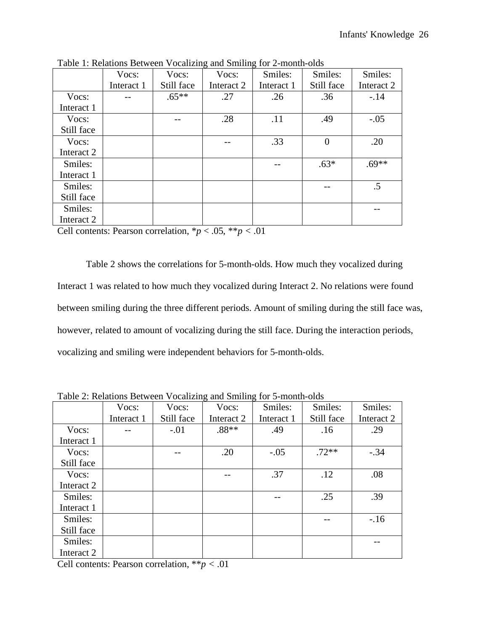|            | Vocs:      | Vocs:      | Vocs:      | Smiles:    | Smiles:    | Smiles:    |
|------------|------------|------------|------------|------------|------------|------------|
|            | Interact 1 | Still face | Interact 2 | Interact 1 | Still face | Interact 2 |
| Vocs:      |            | $.65***$   | .27        | .26        | .36        | $-.14$     |
| Interact 1 |            |            |            |            |            |            |
| Vocs:      |            |            | .28        | .11        | .49        | $-.05$     |
| Still face |            |            |            |            |            |            |
| Vocs:      |            |            |            | .33        | $\theta$   | .20        |
| Interact 2 |            |            |            |            |            |            |
| Smiles:    |            |            |            |            | $.63*$     | $.69**$    |
| Interact 1 |            |            |            |            |            |            |
| Smiles:    |            |            |            |            |            | $.5\,$     |
| Still face |            |            |            |            |            |            |
| Smiles:    |            |            |            |            |            |            |
| Interact 2 |            |            |            |            |            |            |

Table 1: Relations Between Vocalizing and Smiling for 2-month-olds

Cell contents: Pearson correlation,  $p < .05$ ,  $p < .01$ 

Table 2 shows the correlations for 5-month-olds. How much they vocalized during Interact 1 was related to how much they vocalized during Interact 2. No relations were found between smiling during the three different periods. Amount of smiling during the still face was, however, related to amount of vocalizing during the still face. During the interaction periods, vocalizing and smiling were independent behaviors for 5-month-olds.

|            | Vocs:      | Vocs:      | Vocs:      | Smiles:    | Smiles:    | Smiles:    |
|------------|------------|------------|------------|------------|------------|------------|
|            | Interact 1 | Still face | Interact 2 | Interact 1 | Still face | Interact 2 |
| Vocs:      |            | $-.01$     | $.88**$    | .49        | .16        | .29        |
| Interact 1 |            |            |            |            |            |            |
| Vocs:      |            |            | .20        | $-.05$     | $.72**$    | $-.34$     |
| Still face |            |            |            |            |            |            |
| Vocs:      |            |            |            | .37        | .12        | .08        |
| Interact 2 |            |            |            |            |            |            |
| Smiles:    |            |            |            |            | .25        | .39        |
| Interact 1 |            |            |            |            |            |            |
| Smiles:    |            |            |            |            |            | $-.16$     |
| Still face |            |            |            |            |            |            |
| Smiles:    |            |            |            |            |            |            |
| Interact 2 |            |            |            |            |            |            |

Table 2: Relations Between Vocalizing and Smiling for 5-month-olds

Cell contents: Pearson correlation, \*\**p <* .01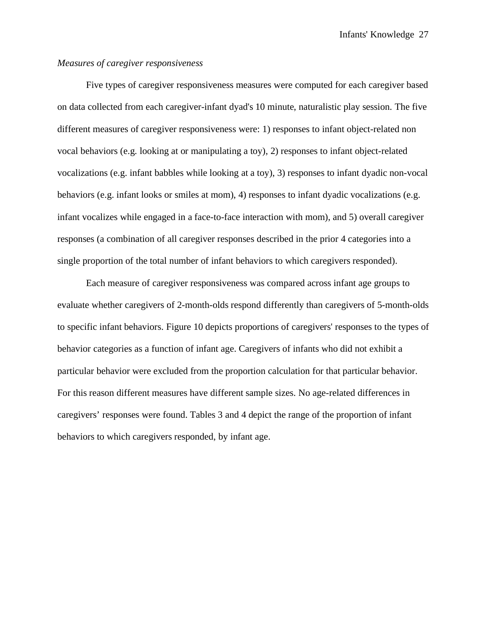## *Measures of caregiver responsiveness*

 Five types of caregiver responsiveness measures were computed for each caregiver based on data collected from each caregiver-infant dyad's 10 minute, naturalistic play session. The five different measures of caregiver responsiveness were: 1) responses to infant object-related non vocal behaviors (e.g. looking at or manipulating a toy), 2) responses to infant object-related vocalizations (e.g. infant babbles while looking at a toy), 3) responses to infant dyadic non-vocal behaviors (e.g. infant looks or smiles at mom), 4) responses to infant dyadic vocalizations (e.g. infant vocalizes while engaged in a face-to-face interaction with mom), and 5) overall caregiver responses (a combination of all caregiver responses described in the prior 4 categories into a single proportion of the total number of infant behaviors to which caregivers responded).

Each measure of caregiver responsiveness was compared across infant age groups to evaluate whether caregivers of 2-month-olds respond differently than caregivers of 5-month-olds to specific infant behaviors. Figure 10 depicts proportions of caregivers' responses to the types of behavior categories as a function of infant age. Caregivers of infants who did not exhibit a particular behavior were excluded from the proportion calculation for that particular behavior. For this reason different measures have different sample sizes. No age-related differences in caregivers' responses were found. Tables 3 and 4 depict the range of the proportion of infant behaviors to which caregivers responded, by infant age.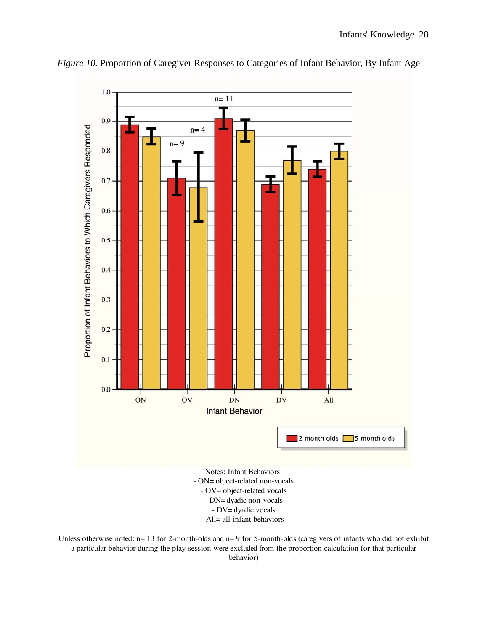

*Figure 10.* Proportion of Caregiver Responses to Categories of Infant Behavior, By Infant Age

- OV= object-related vocals - DN= dyadic non-vocals - DV= dyadic vocals -All= all infant behaviors

Unless otherwise noted: n= 13 for 2-month-olds and n= 9 for 5-month-olds (caregivers of infants who did not exhibit a particular behavior during the play session were excluded from the proportion calculation for that particular behavior)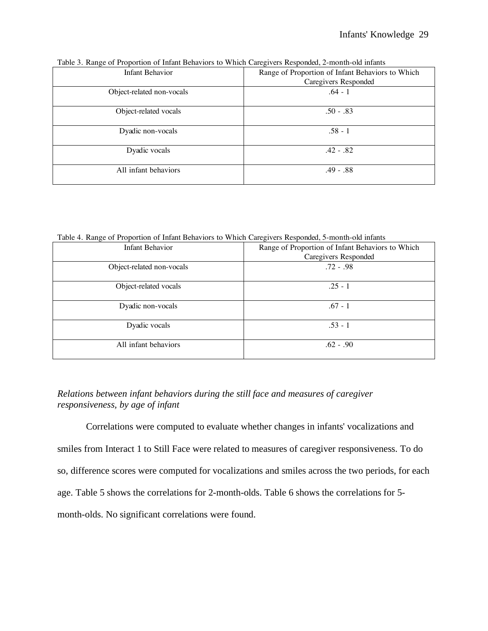| - -<br><b>Infant Behavior</b> | Range of Proportion of Infant Behaviors to Which<br>Caregivers Responded |
|-------------------------------|--------------------------------------------------------------------------|
| Object-related non-vocals     | $.64 - 1$                                                                |
| Object-related vocals         | $.50 - .83$                                                              |
| Dyadic non-vocals             | $.58 - 1$                                                                |
| Dyadic vocals                 | $.42-.82$                                                                |
| All infant behaviors          | $.49-.88$                                                                |

Table 3. Range of Proportion of Infant Behaviors to Which Caregivers Responded, 2-month-old infants

Table 4. Range of Proportion of Infant Behaviors to Which Caregivers Responded, 5-month-old infants

| - –                       |                                                  |  |  |
|---------------------------|--------------------------------------------------|--|--|
| <b>Infant Behavior</b>    | Range of Proportion of Infant Behaviors to Which |  |  |
|                           | Caregivers Responded                             |  |  |
| Object-related non-vocals | $.72 - .98$                                      |  |  |
|                           | $.25 - 1$                                        |  |  |
| Object-related vocals     |                                                  |  |  |
| Dyadic non-vocals         | $.67 - 1$                                        |  |  |
|                           |                                                  |  |  |
| Dyadic vocals             | $.53 - 1$                                        |  |  |
|                           |                                                  |  |  |
| All infant behaviors      | $.62 - .90$                                      |  |  |
|                           |                                                  |  |  |

# *Relations between infant behaviors during the still face and measures of caregiver responsiveness, by age of infant*

 Correlations were computed to evaluate whether changes in infants' vocalizations and smiles from Interact 1 to Still Face were related to measures of caregiver responsiveness. To do so, difference scores were computed for vocalizations and smiles across the two periods, for each age. Table 5 shows the correlations for 2-month-olds. Table 6 shows the correlations for 5 month-olds. No significant correlations were found.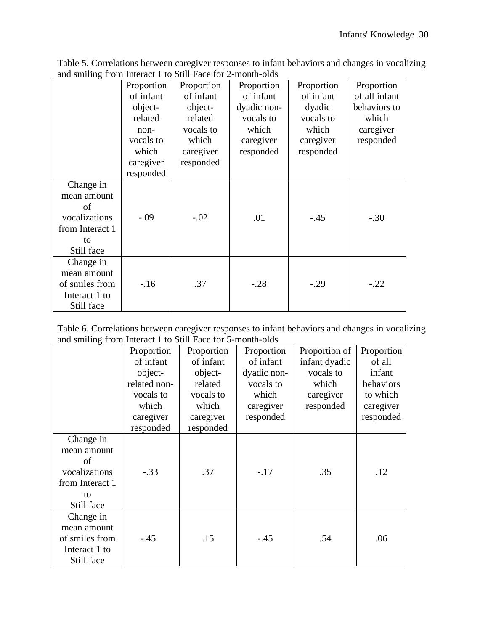|                 | Proportion | Proportion | Proportion  | Proportion | Proportion    |
|-----------------|------------|------------|-------------|------------|---------------|
|                 | of infant  | of infant  | of infant   | of infant  | of all infant |
|                 | object-    | object-    | dyadic non- | dyadic     | behaviors to  |
|                 | related    | related    | vocals to   | vocals to  | which         |
|                 | $non-$     | vocals to  | which       | which      | caregiver     |
|                 | vocals to  | which      | caregiver   | caregiver  | responded     |
|                 | which      |            |             |            |               |
|                 |            | caregiver  | responded   | responded  |               |
|                 | caregiver  | responded  |             |            |               |
|                 | responded  |            |             |            |               |
| Change in       |            |            |             |            |               |
| mean amount     |            |            |             |            |               |
| of              |            |            |             |            |               |
| vocalizations   | $-.09$     | $-.02$     | .01         | $-.45$     | $-.30$        |
| from Interact 1 |            |            |             |            |               |
| to              |            |            |             |            |               |
| Still face      |            |            |             |            |               |
| Change in       |            |            |             |            |               |
| mean amount     |            |            |             |            |               |
| of smiles from  | $-16$      | .37        | $-.28$      | $-.29$     | $-.22$        |
| Interact 1 to   |            |            |             |            |               |
| Still face      |            |            |             |            |               |

Table 5. Correlations between caregiver responses to infant behaviors and changes in vocalizing and smiling from Interact 1 to Still Face for 2-month-olds

| Table 6. Correlations between caregiver responses to infant behaviors and changes in vocalizing |  |  |  |
|-------------------------------------------------------------------------------------------------|--|--|--|
| and smiling from Interact 1 to Still Face for 5-month-olds                                      |  |  |  |

|                 | Proportion   | Proportion | Proportion  | Proportion of | Proportion |
|-----------------|--------------|------------|-------------|---------------|------------|
|                 | of infant    | of infant  | of infant   | infant dyadic | of all     |
|                 | object-      | object-    | dyadic non- | vocals to     | infant     |
|                 | related non- | related    | vocals to   | which         | behaviors  |
|                 | vocals to    | vocals to  | which       | caregiver     | to which   |
|                 | which        | which      | caregiver   | responded     | caregiver  |
|                 | caregiver    | caregiver  | responded   |               | responded  |
|                 | responded    | responded  |             |               |            |
| Change in       |              |            |             |               |            |
| mean amount     |              |            |             |               |            |
| of              |              |            |             |               |            |
| vocalizations   | $-.33$       | .37        | $-.17$      | .35           | .12        |
| from Interact 1 |              |            |             |               |            |
| to              |              |            |             |               |            |
| Still face      |              |            |             |               |            |
| Change in       |              |            |             |               |            |
| mean amount     |              |            |             |               |            |
| of smiles from  | $-.45$       | .15        | $-.45$      | .54           | .06        |
| Interact 1 to   |              |            |             |               |            |
| Still face      |              |            |             |               |            |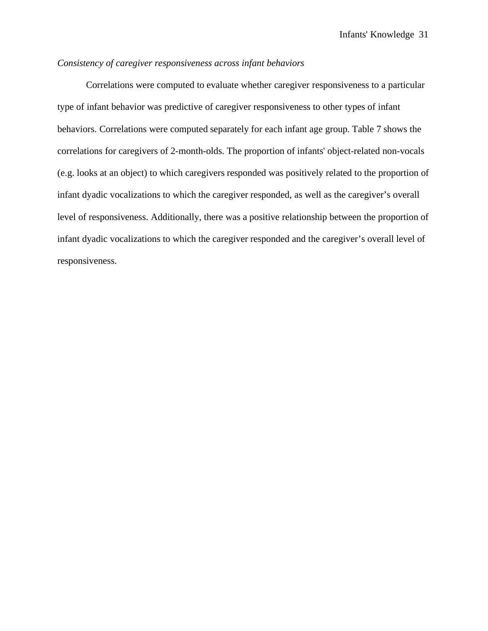## *Consistency of caregiver responsiveness across infant behaviors*

Correlations were computed to evaluate whether caregiver responsiveness to a particular type of infant behavior was predictive of caregiver responsiveness to other types of infant behaviors. Correlations were computed separately for each infant age group. Table 7 shows the correlations for caregivers of 2-month-olds. The proportion of infants' object-related non-vocals (e.g. looks at an object) to which caregivers responded was positively related to the proportion of infant dyadic vocalizations to which the caregiver responded, as well as the caregiver's overall level of responsiveness. Additionally, there was a positive relationship between the proportion of infant dyadic vocalizations to which the caregiver responded and the caregiver's overall level of responsiveness.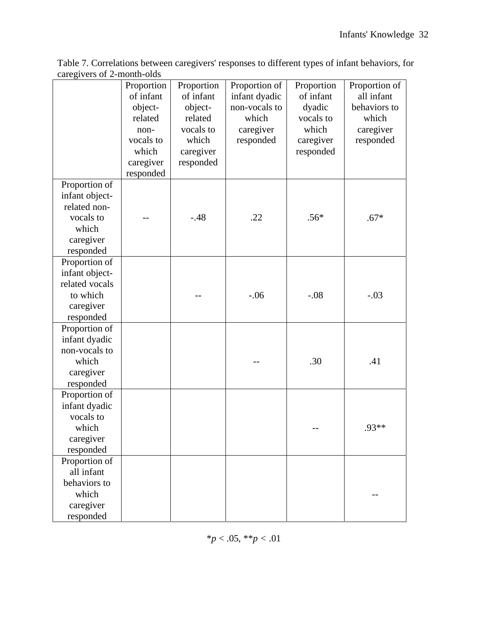|                                                                                                 | Proportion<br>of infant<br>object-<br>related<br>non-<br>vocals to<br>which<br>caregiver<br>responded | Proportion<br>of infant<br>object-<br>related<br>vocals to<br>which<br>caregiver<br>responded | Proportion of<br>infant dyadic<br>non-vocals to<br>which<br>caregiver<br>responded | Proportion<br>of infant<br>dyadic<br>vocals to<br>which<br>caregiver<br>responded | Proportion of<br>all infant<br>behaviors to<br>which<br>caregiver<br>responded |
|-------------------------------------------------------------------------------------------------|-------------------------------------------------------------------------------------------------------|-----------------------------------------------------------------------------------------------|------------------------------------------------------------------------------------|-----------------------------------------------------------------------------------|--------------------------------------------------------------------------------|
| Proportion of<br>infant object-<br>related non-<br>vocals to<br>which<br>caregiver<br>responded |                                                                                                       | $-.48$                                                                                        | .22                                                                                | $.56*$                                                                            | $.67*$                                                                         |
| Proportion of<br>infant object-<br>related vocals<br>to which<br>caregiver<br>responded         |                                                                                                       |                                                                                               | $-.06$                                                                             | $-.08$                                                                            | $-.03$                                                                         |
| Proportion of<br>infant dyadic<br>non-vocals to<br>which<br>caregiver<br>responded              |                                                                                                       |                                                                                               |                                                                                    | .30                                                                               | .41                                                                            |
| Proportion of<br>infant dyadic<br>vocals to<br>which<br>caregiver<br>responded                  |                                                                                                       |                                                                                               |                                                                                    |                                                                                   | $.93**$                                                                        |
| Proportion of<br>all infant<br>behaviors to<br>which<br>caregiver<br>responded                  |                                                                                                       |                                                                                               |                                                                                    |                                                                                   |                                                                                |

Table 7. Correlations between caregivers' responses to different types of infant behaviors, for caregivers of 2-month-olds

\**p* < .05, \*\**p <* .01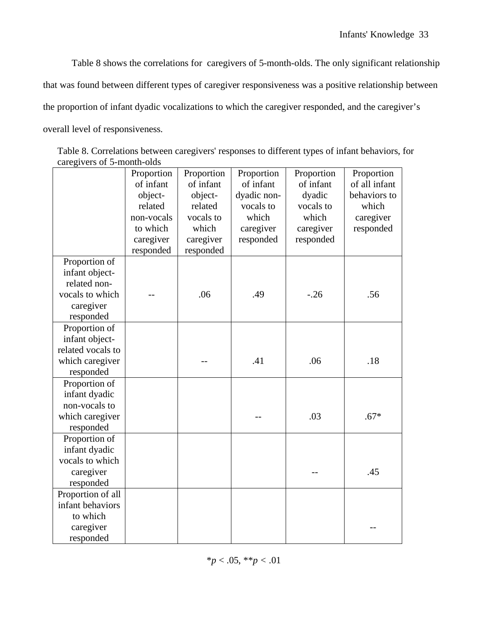Table 8 shows the correlations for caregivers of 5-month-olds. The only significant relationship that was found between different types of caregiver responsiveness was a positive relationship between the proportion of infant dyadic vocalizations to which the caregiver responded, and the caregiver's overall level of responsiveness.

| Table 8. Correlations between caregivers' responses to different types of infant behaviors, for |  |  |  |  |
|-------------------------------------------------------------------------------------------------|--|--|--|--|
| caregivers of 5-month-olds                                                                      |  |  |  |  |

|                                                                                              | Proportion<br>of infant<br>object-<br>related<br>non-vocals<br>to which<br>caregiver<br>responded | Proportion<br>of infant<br>object-<br>related<br>vocals to<br>which<br>caregiver<br>responded | Proportion<br>of infant<br>dyadic non-<br>vocals to<br>which<br>caregiver<br>responded | Proportion<br>of infant<br>dyadic<br>vocals to<br>which<br>caregiver<br>responded | Proportion<br>of all infant<br>behaviors to<br>which<br>caregiver<br>responded |
|----------------------------------------------------------------------------------------------|---------------------------------------------------------------------------------------------------|-----------------------------------------------------------------------------------------------|----------------------------------------------------------------------------------------|-----------------------------------------------------------------------------------|--------------------------------------------------------------------------------|
| Proportion of<br>infant object-<br>related non-<br>vocals to which<br>caregiver<br>responded |                                                                                                   | .06                                                                                           | .49                                                                                    | $-.26$                                                                            | .56                                                                            |
| Proportion of<br>infant object-<br>related vocals to<br>which caregiver<br>responded         |                                                                                                   |                                                                                               | .41                                                                                    | .06                                                                               | .18                                                                            |
| Proportion of<br>infant dyadic<br>non-vocals to<br>which caregiver<br>responded              |                                                                                                   |                                                                                               |                                                                                        | .03                                                                               | $.67*$                                                                         |
| Proportion of<br>infant dyadic<br>vocals to which<br>caregiver<br>responded                  |                                                                                                   |                                                                                               |                                                                                        |                                                                                   | .45                                                                            |
| Proportion of all<br>infant behaviors<br>to which<br>caregiver<br>responded                  |                                                                                                   |                                                                                               |                                                                                        |                                                                                   |                                                                                |

\**p* < .05, \*\**p <* .01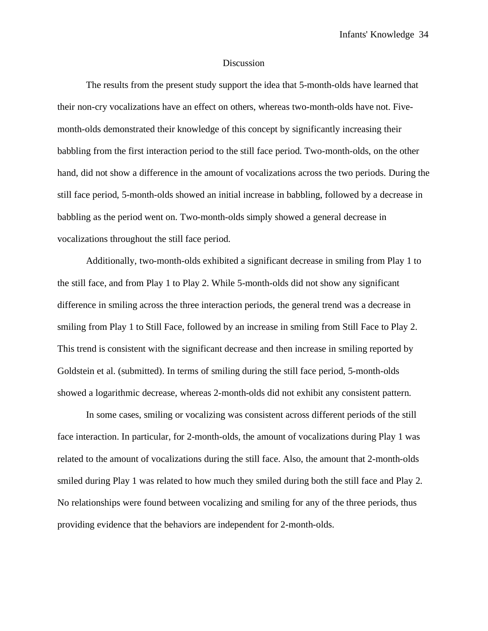### Discussion

 The results from the present study support the idea that 5-month-olds have learned that their non-cry vocalizations have an effect on others, whereas two-month-olds have not. Fivemonth-olds demonstrated their knowledge of this concept by significantly increasing their babbling from the first interaction period to the still face period. Two-month-olds, on the other hand, did not show a difference in the amount of vocalizations across the two periods. During the still face period, 5-month-olds showed an initial increase in babbling, followed by a decrease in babbling as the period went on. Two-month-olds simply showed a general decrease in vocalizations throughout the still face period.

Additionally, two-month-olds exhibited a significant decrease in smiling from Play 1 to the still face, and from Play 1 to Play 2. While 5-month-olds did not show any significant difference in smiling across the three interaction periods, the general trend was a decrease in smiling from Play 1 to Still Face, followed by an increase in smiling from Still Face to Play 2. This trend is consistent with the significant decrease and then increase in smiling reported by Goldstein et al. (submitted). In terms of smiling during the still face period, 5-month-olds showed a logarithmic decrease, whereas 2-month-olds did not exhibit any consistent pattern.

In some cases, smiling or vocalizing was consistent across different periods of the still face interaction. In particular, for 2-month-olds, the amount of vocalizations during Play 1 was related to the amount of vocalizations during the still face. Also, the amount that 2-month-olds smiled during Play 1 was related to how much they smiled during both the still face and Play 2. No relationships were found between vocalizing and smiling for any of the three periods, thus providing evidence that the behaviors are independent for 2-month-olds.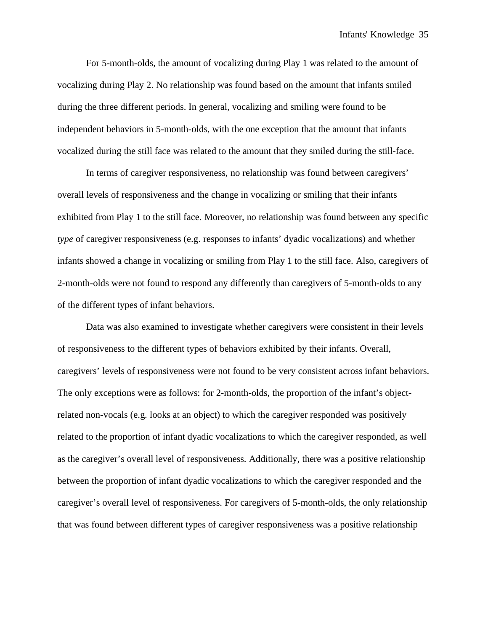For 5-month-olds, the amount of vocalizing during Play 1 was related to the amount of vocalizing during Play 2. No relationship was found based on the amount that infants smiled during the three different periods. In general, vocalizing and smiling were found to be independent behaviors in 5-month-olds, with the one exception that the amount that infants vocalized during the still face was related to the amount that they smiled during the still-face.

In terms of caregiver responsiveness, no relationship was found between caregivers' overall levels of responsiveness and the change in vocalizing or smiling that their infants exhibited from Play 1 to the still face. Moreover, no relationship was found between any specific *type* of caregiver responsiveness (e.g. responses to infants' dyadic vocalizations) and whether infants showed a change in vocalizing or smiling from Play 1 to the still face. Also, caregivers of 2-month-olds were not found to respond any differently than caregivers of 5-month-olds to any of the different types of infant behaviors.

Data was also examined to investigate whether caregivers were consistent in their levels of responsiveness to the different types of behaviors exhibited by their infants. Overall, caregivers' levels of responsiveness were not found to be very consistent across infant behaviors. The only exceptions were as follows: for 2-month-olds, the proportion of the infant's objectrelated non-vocals (e.g. looks at an object) to which the caregiver responded was positively related to the proportion of infant dyadic vocalizations to which the caregiver responded, as well as the caregiver's overall level of responsiveness. Additionally, there was a positive relationship between the proportion of infant dyadic vocalizations to which the caregiver responded and the caregiver's overall level of responsiveness. For caregivers of 5-month-olds, the only relationship that was found between different types of caregiver responsiveness was a positive relationship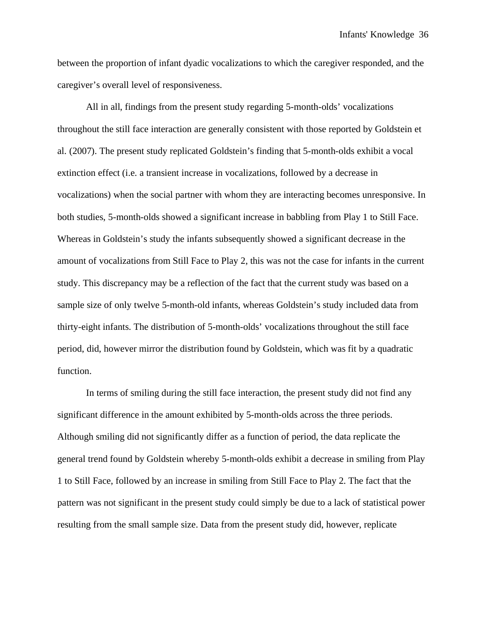between the proportion of infant dyadic vocalizations to which the caregiver responded, and the caregiver's overall level of responsiveness.

All in all, findings from the present study regarding 5-month-olds' vocalizations throughout the still face interaction are generally consistent with those reported by Goldstein et al. (2007). The present study replicated Goldstein's finding that 5-month-olds exhibit a vocal extinction effect (i.e. a transient increase in vocalizations, followed by a decrease in vocalizations) when the social partner with whom they are interacting becomes unresponsive. In both studies, 5-month-olds showed a significant increase in babbling from Play 1 to Still Face. Whereas in Goldstein's study the infants subsequently showed a significant decrease in the amount of vocalizations from Still Face to Play 2, this was not the case for infants in the current study. This discrepancy may be a reflection of the fact that the current study was based on a sample size of only twelve 5-month-old infants, whereas Goldstein's study included data from thirty-eight infants. The distribution of 5-month-olds' vocalizations throughout the still face period, did, however mirror the distribution found by Goldstein, which was fit by a quadratic function.

In terms of smiling during the still face interaction, the present study did not find any significant difference in the amount exhibited by 5-month-olds across the three periods. Although smiling did not significantly differ as a function of period, the data replicate the general trend found by Goldstein whereby 5-month-olds exhibit a decrease in smiling from Play 1 to Still Face, followed by an increase in smiling from Still Face to Play 2. The fact that the pattern was not significant in the present study could simply be due to a lack of statistical power resulting from the small sample size. Data from the present study did, however, replicate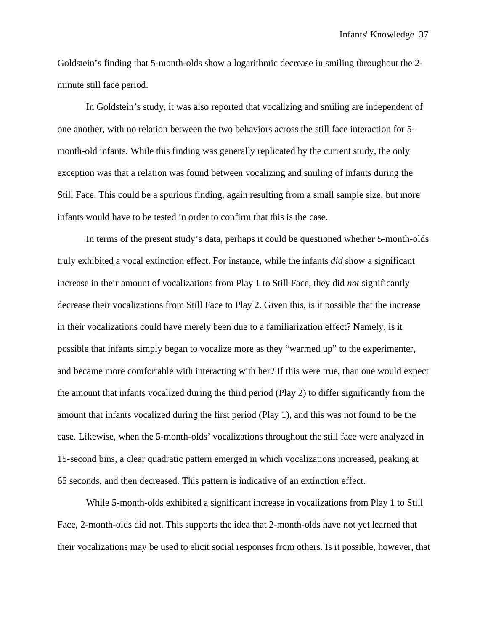Goldstein's finding that 5-month-olds show a logarithmic decrease in smiling throughout the 2 minute still face period.

In Goldstein's study, it was also reported that vocalizing and smiling are independent of one another, with no relation between the two behaviors across the still face interaction for 5 month-old infants. While this finding was generally replicated by the current study, the only exception was that a relation was found between vocalizing and smiling of infants during the Still Face. This could be a spurious finding, again resulting from a small sample size, but more infants would have to be tested in order to confirm that this is the case.

In terms of the present study's data, perhaps it could be questioned whether 5-month-olds truly exhibited a vocal extinction effect. For instance, while the infants *did* show a significant increase in their amount of vocalizations from Play 1 to Still Face, they did *not* significantly decrease their vocalizations from Still Face to Play 2. Given this, is it possible that the increase in their vocalizations could have merely been due to a familiarization effect? Namely, is it possible that infants simply began to vocalize more as they "warmed up" to the experimenter, and became more comfortable with interacting with her? If this were true, than one would expect the amount that infants vocalized during the third period (Play 2) to differ significantly from the amount that infants vocalized during the first period (Play 1), and this was not found to be the case. Likewise, when the 5-month-olds' vocalizations throughout the still face were analyzed in 15-second bins, a clear quadratic pattern emerged in which vocalizations increased, peaking at 65 seconds, and then decreased. This pattern is indicative of an extinction effect.

While 5-month-olds exhibited a significant increase in vocalizations from Play 1 to Still Face, 2-month-olds did not. This supports the idea that 2-month-olds have not yet learned that their vocalizations may be used to elicit social responses from others. Is it possible, however, that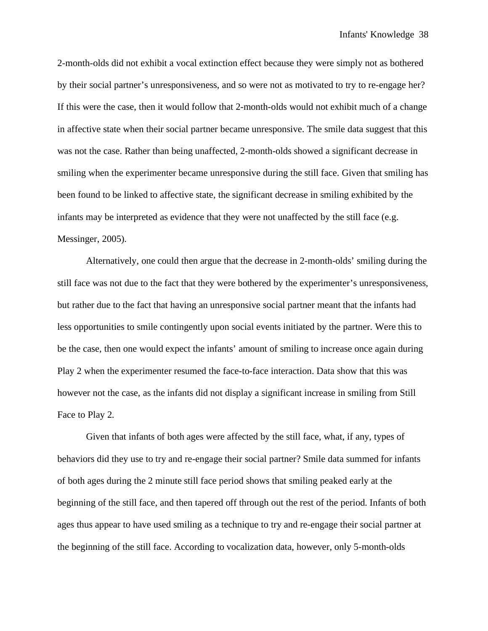2-month-olds did not exhibit a vocal extinction effect because they were simply not as bothered by their social partner's unresponsiveness, and so were not as motivated to try to re-engage her? If this were the case, then it would follow that 2-month-olds would not exhibit much of a change in affective state when their social partner became unresponsive. The smile data suggest that this was not the case. Rather than being unaffected, 2-month-olds showed a significant decrease in smiling when the experimenter became unresponsive during the still face. Given that smiling has been found to be linked to affective state, the significant decrease in smiling exhibited by the infants may be interpreted as evidence that they were not unaffected by the still face (e.g. Messinger, 2005).

Alternatively, one could then argue that the decrease in 2-month-olds' smiling during the still face was not due to the fact that they were bothered by the experimenter's unresponsiveness, but rather due to the fact that having an unresponsive social partner meant that the infants had less opportunities to smile contingently upon social events initiated by the partner. Were this to be the case, then one would expect the infants' amount of smiling to increase once again during Play 2 when the experimenter resumed the face-to-face interaction. Data show that this was however not the case, as the infants did not display a significant increase in smiling from Still Face to Play 2.

Given that infants of both ages were affected by the still face, what, if any, types of behaviors did they use to try and re-engage their social partner? Smile data summed for infants of both ages during the 2 minute still face period shows that smiling peaked early at the beginning of the still face, and then tapered off through out the rest of the period. Infants of both ages thus appear to have used smiling as a technique to try and re-engage their social partner at the beginning of the still face. According to vocalization data, however, only 5-month-olds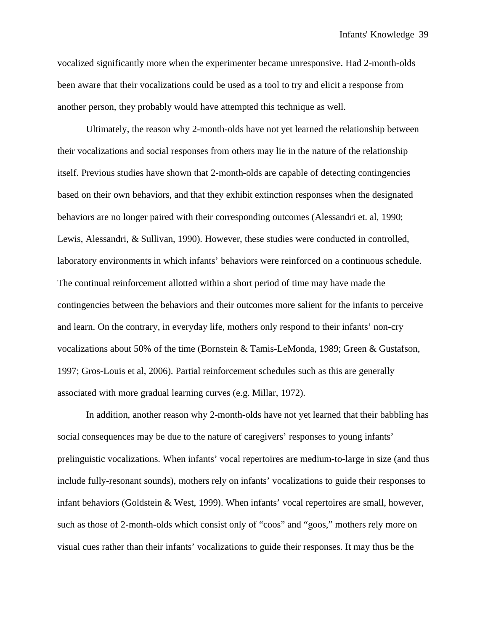vocalized significantly more when the experimenter became unresponsive. Had 2-month-olds been aware that their vocalizations could be used as a tool to try and elicit a response from another person, they probably would have attempted this technique as well.

 Ultimately, the reason why 2-month-olds have not yet learned the relationship between their vocalizations and social responses from others may lie in the nature of the relationship itself. Previous studies have shown that 2-month-olds are capable of detecting contingencies based on their own behaviors, and that they exhibit extinction responses when the designated behaviors are no longer paired with their corresponding outcomes (Alessandri et. al, 1990; Lewis, Alessandri, & Sullivan, 1990). However, these studies were conducted in controlled, laboratory environments in which infants' behaviors were reinforced on a continuous schedule. The continual reinforcement allotted within a short period of time may have made the contingencies between the behaviors and their outcomes more salient for the infants to perceive and learn. On the contrary, in everyday life, mothers only respond to their infants' non-cry vocalizations about 50% of the time (Bornstein & Tamis-LeMonda, 1989; Green & Gustafson, 1997; Gros-Louis et al, 2006). Partial reinforcement schedules such as this are generally associated with more gradual learning curves (e.g. Millar, 1972).

 In addition, another reason why 2-month-olds have not yet learned that their babbling has social consequences may be due to the nature of caregivers' responses to young infants' prelinguistic vocalizations. When infants' vocal repertoires are medium-to-large in size (and thus include fully-resonant sounds), mothers rely on infants' vocalizations to guide their responses to infant behaviors (Goldstein & West, 1999). When infants' vocal repertoires are small, however, such as those of 2-month-olds which consist only of "coos" and "goos," mothers rely more on visual cues rather than their infants' vocalizations to guide their responses. It may thus be the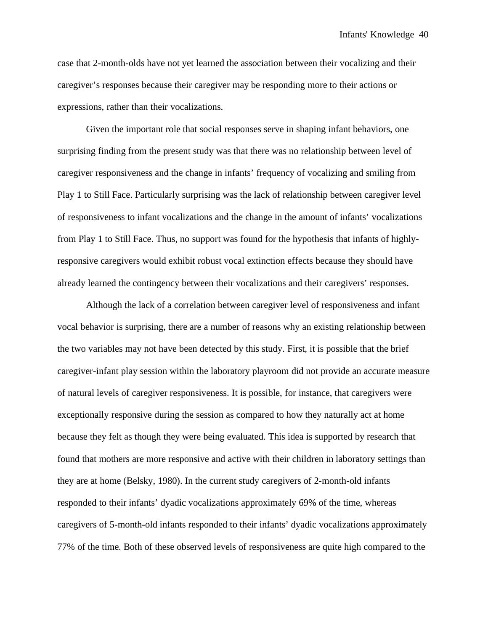case that 2-month-olds have not yet learned the association between their vocalizing and their caregiver's responses because their caregiver may be responding more to their actions or expressions, rather than their vocalizations.

 Given the important role that social responses serve in shaping infant behaviors, one surprising finding from the present study was that there was no relationship between level of caregiver responsiveness and the change in infants' frequency of vocalizing and smiling from Play 1 to Still Face. Particularly surprising was the lack of relationship between caregiver level of responsiveness to infant vocalizations and the change in the amount of infants' vocalizations from Play 1 to Still Face. Thus, no support was found for the hypothesis that infants of highlyresponsive caregivers would exhibit robust vocal extinction effects because they should have already learned the contingency between their vocalizations and their caregivers' responses.

 Although the lack of a correlation between caregiver level of responsiveness and infant vocal behavior is surprising, there are a number of reasons why an existing relationship between the two variables may not have been detected by this study. First, it is possible that the brief caregiver-infant play session within the laboratory playroom did not provide an accurate measure of natural levels of caregiver responsiveness. It is possible, for instance, that caregivers were exceptionally responsive during the session as compared to how they naturally act at home because they felt as though they were being evaluated. This idea is supported by research that found that mothers are more responsive and active with their children in laboratory settings than they are at home (Belsky, 1980). In the current study caregivers of 2-month-old infants responded to their infants' dyadic vocalizations approximately 69% of the time, whereas caregivers of 5-month-old infants responded to their infants' dyadic vocalizations approximately 77% of the time. Both of these observed levels of responsiveness are quite high compared to the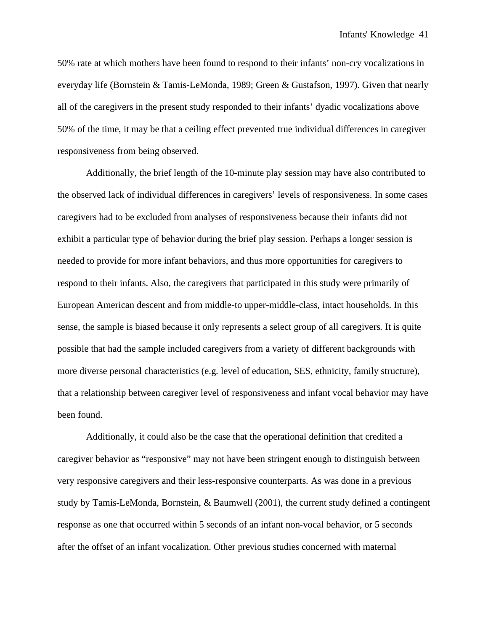50% rate at which mothers have been found to respond to their infants' non-cry vocalizations in everyday life (Bornstein & Tamis-LeMonda, 1989; Green & Gustafson, 1997). Given that nearly all of the caregivers in the present study responded to their infants' dyadic vocalizations above 50% of the time, it may be that a ceiling effect prevented true individual differences in caregiver responsiveness from being observed.

Additionally, the brief length of the 10-minute play session may have also contributed to the observed lack of individual differences in caregivers' levels of responsiveness. In some cases caregivers had to be excluded from analyses of responsiveness because their infants did not exhibit a particular type of behavior during the brief play session. Perhaps a longer session is needed to provide for more infant behaviors, and thus more opportunities for caregivers to respond to their infants. Also, the caregivers that participated in this study were primarily of European American descent and from middle-to upper-middle-class, intact households. In this sense, the sample is biased because it only represents a select group of all caregivers. It is quite possible that had the sample included caregivers from a variety of different backgrounds with more diverse personal characteristics (e.g. level of education, SES, ethnicity, family structure), that a relationship between caregiver level of responsiveness and infant vocal behavior may have been found.

Additionally, it could also be the case that the operational definition that credited a caregiver behavior as "responsive" may not have been stringent enough to distinguish between very responsive caregivers and their less-responsive counterparts. As was done in a previous study by Tamis-LeMonda, Bornstein, & Baumwell (2001), the current study defined a contingent response as one that occurred within 5 seconds of an infant non-vocal behavior, or 5 seconds after the offset of an infant vocalization. Other previous studies concerned with maternal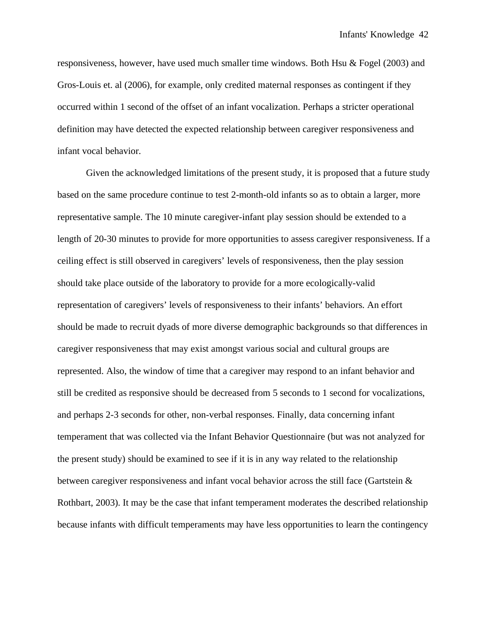responsiveness, however, have used much smaller time windows. Both Hsu & Fogel (2003) and Gros-Louis et. al (2006), for example, only credited maternal responses as contingent if they occurred within 1 second of the offset of an infant vocalization. Perhaps a stricter operational definition may have detected the expected relationship between caregiver responsiveness and infant vocal behavior.

Given the acknowledged limitations of the present study, it is proposed that a future study based on the same procedure continue to test 2-month-old infants so as to obtain a larger, more representative sample. The 10 minute caregiver-infant play session should be extended to a length of 20-30 minutes to provide for more opportunities to assess caregiver responsiveness. If a ceiling effect is still observed in caregivers' levels of responsiveness, then the play session should take place outside of the laboratory to provide for a more ecologically-valid representation of caregivers' levels of responsiveness to their infants' behaviors. An effort should be made to recruit dyads of more diverse demographic backgrounds so that differences in caregiver responsiveness that may exist amongst various social and cultural groups are represented. Also, the window of time that a caregiver may respond to an infant behavior and still be credited as responsive should be decreased from 5 seconds to 1 second for vocalizations, and perhaps 2-3 seconds for other, non-verbal responses. Finally, data concerning infant temperament that was collected via the Infant Behavior Questionnaire (but was not analyzed for the present study) should be examined to see if it is in any way related to the relationship between caregiver responsiveness and infant vocal behavior across the still face (Gartstein  $\&$ Rothbart, 2003). It may be the case that infant temperament moderates the described relationship because infants with difficult temperaments may have less opportunities to learn the contingency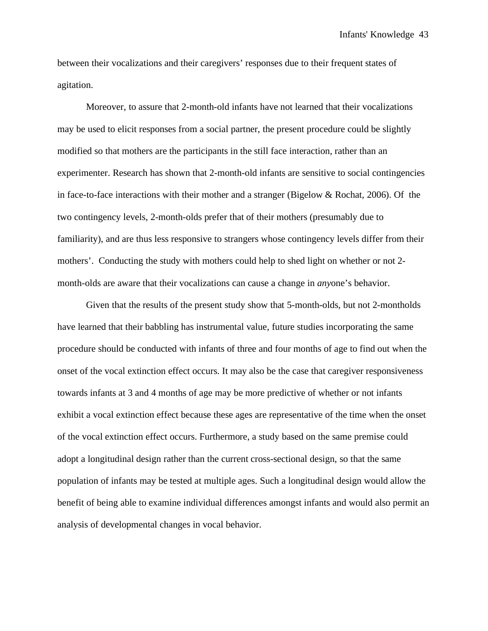between their vocalizations and their caregivers' responses due to their frequent states of agitation.

Moreover, to assure that 2-month-old infants have not learned that their vocalizations may be used to elicit responses from a social partner, the present procedure could be slightly modified so that mothers are the participants in the still face interaction, rather than an experimenter. Research has shown that 2-month-old infants are sensitive to social contingencies in face-to-face interactions with their mother and a stranger (Bigelow  $& Rochat, 2006$ ). Of the two contingency levels, 2-month-olds prefer that of their mothers (presumably due to familiarity), and are thus less responsive to strangers whose contingency levels differ from their mothers'. Conducting the study with mothers could help to shed light on whether or not 2 month-olds are aware that their vocalizations can cause a change in *any*one's behavior.

Given that the results of the present study show that 5-month-olds, but not 2-montholds have learned that their babbling has instrumental value, future studies incorporating the same procedure should be conducted with infants of three and four months of age to find out when the onset of the vocal extinction effect occurs. It may also be the case that caregiver responsiveness towards infants at 3 and 4 months of age may be more predictive of whether or not infants exhibit a vocal extinction effect because these ages are representative of the time when the onset of the vocal extinction effect occurs. Furthermore, a study based on the same premise could adopt a longitudinal design rather than the current cross-sectional design, so that the same population of infants may be tested at multiple ages. Such a longitudinal design would allow the benefit of being able to examine individual differences amongst infants and would also permit an analysis of developmental changes in vocal behavior.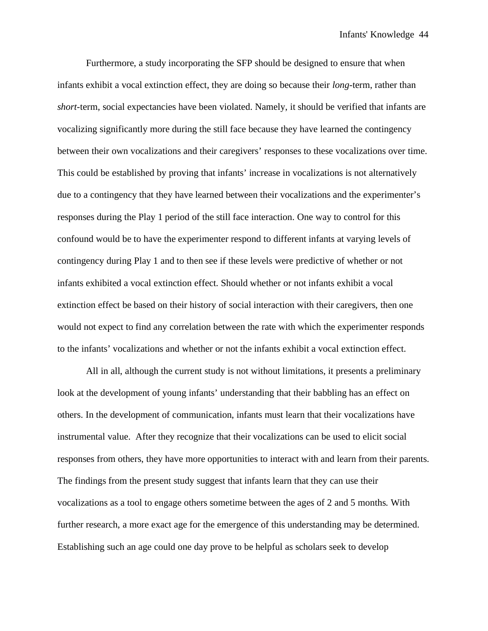Furthermore, a study incorporating the SFP should be designed to ensure that when infants exhibit a vocal extinction effect, they are doing so because their *long*-term, rather than *short*-term, social expectancies have been violated. Namely, it should be verified that infants are vocalizing significantly more during the still face because they have learned the contingency between their own vocalizations and their caregivers' responses to these vocalizations over time. This could be established by proving that infants' increase in vocalizations is not alternatively due to a contingency that they have learned between their vocalizations and the experimenter's responses during the Play 1 period of the still face interaction. One way to control for this confound would be to have the experimenter respond to different infants at varying levels of contingency during Play 1 and to then see if these levels were predictive of whether or not infants exhibited a vocal extinction effect. Should whether or not infants exhibit a vocal extinction effect be based on their history of social interaction with their caregivers, then one would not expect to find any correlation between the rate with which the experimenter responds to the infants' vocalizations and whether or not the infants exhibit a vocal extinction effect.

All in all, although the current study is not without limitations, it presents a preliminary look at the development of young infants' understanding that their babbling has an effect on others. In the development of communication, infants must learn that their vocalizations have instrumental value. After they recognize that their vocalizations can be used to elicit social responses from others, they have more opportunities to interact with and learn from their parents. The findings from the present study suggest that infants learn that they can use their vocalizations as a tool to engage others sometime between the ages of 2 and 5 months. With further research, a more exact age for the emergence of this understanding may be determined. Establishing such an age could one day prove to be helpful as scholars seek to develop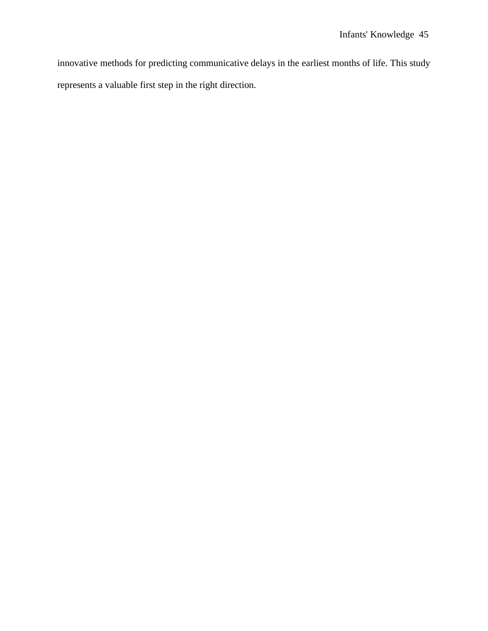innovative methods for predicting communicative delays in the earliest months of life. This study represents a valuable first step in the right direction.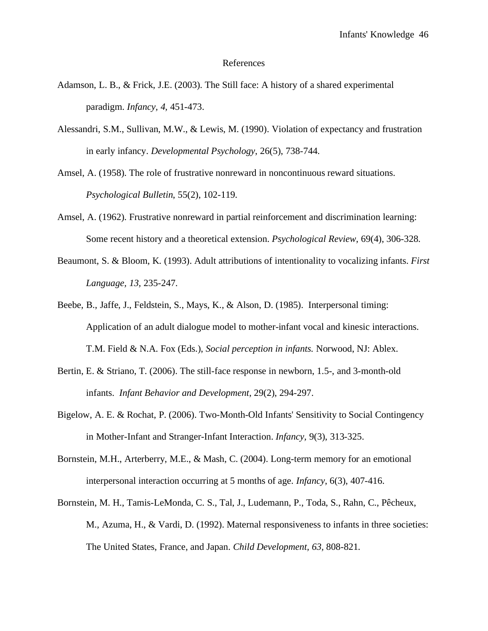#### References

- Adamson, L. B., & Frick, J.E. (2003). The Still face: A history of a shared experimental paradigm. *Infancy, 4,* 451-473.
- Alessandri, S.M., Sullivan, M.W., & Lewis, M. (1990). Violation of expectancy and frustration in early infancy. *Developmental Psychology*, 26(5), 738-744.
- Amsel, A. (1958). The role of frustrative nonreward in noncontinuous reward situations. *Psychological Bulletin*, 55(2), 102-119.
- Amsel, A. (1962). Frustrative nonreward in partial reinforcement and discrimination learning: Some recent history and a theoretical extension. *Psychological Review*, 69(4), 306-328.
- Beaumont, S. & Bloom, K. (1993). Adult attributions of intentionality to vocalizing infants. *First Language, 13,* 235-247.
- Beebe, B., Jaffe, J., Feldstein, S., Mays, K., & Alson, D. (1985). Interpersonal timing: Application of an adult dialogue model to mother-infant vocal and kinesic interactions. T.M. Field & N.A. Fox (Eds.), *Social perception in infants.* Norwood, NJ: Ablex.
- Bertin, E. & Striano, T. (2006). The still-face response in newborn, 1.5-, and 3-month-old infants. *Infant Behavior and Development*, 29(2), 294-297.
- Bigelow, A. E. & Rochat, P. (2006). Two-Month-Old Infants' Sensitivity to Social Contingency in Mother-Infant and Stranger-Infant Interaction. *Infancy,* 9(3), 313-325.
- Bornstein, M.H., Arterberry, M.E., & Mash, C. (2004). Long-term memory for an emotional interpersonal interaction occurring at 5 months of age. *Infancy*, 6(3), 407-416.
- Bornstein, M. H., Tamis-LeMonda, C. S., Tal, J., Ludemann, P., Toda, S., Rahn, C., Pêcheux, M., Azuma, H., & Vardi, D. (1992). Maternal responsiveness to infants in three societies: The United States, France, and Japan. *Child Development, 63,* 808-821.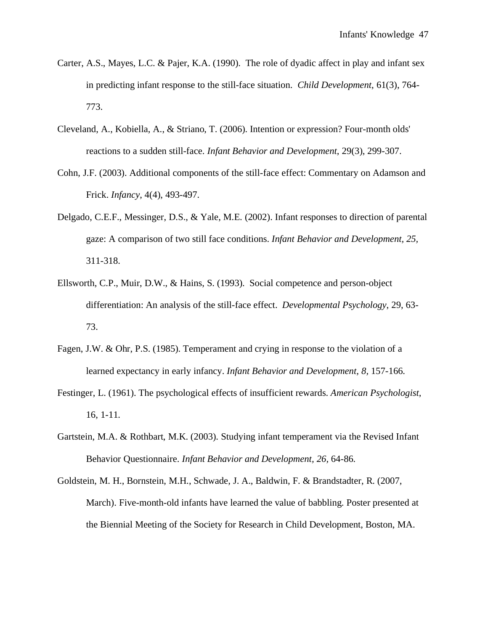- Carter, A.S., Mayes, L.C. & Pajer, K.A. (1990). The role of dyadic affect in play and infant sex in predicting infant response to the still-face situation. *Child Development*, 61(3), 764- 773.
- Cleveland, A., Kobiella, A., & Striano, T. (2006). Intention or expression? Four-month olds' reactions to a sudden still-face. *Infant Behavior and Development*, 29(3), 299-307.
- Cohn, J.F. (2003). Additional components of the still-face effect: Commentary on Adamson and Frick. *Infancy*, 4(4), 493-497.
- Delgado, C.E.F., Messinger, D.S., & Yale, M.E. (2002). Infant responses to direction of parental gaze: A comparison of two still face conditions. *Infant Behavior and Development, 25,*  311-318.
- Ellsworth, C.P., Muir, D.W., & Hains, S. (1993). Social competence and person-object differentiation: An analysis of the still-face effect. *Developmental Psychology*, 29, 63- 73.
- Fagen, J.W. & Ohr, P.S. (1985). Temperament and crying in response to the violation of a learned expectancy in early infancy. *Infant Behavior and Development, 8,* 157-166.
- Festinger, L. (1961). The psychological effects of insufficient rewards. *American Psychologist*, 16, 1-11.
- Gartstein, M.A. & Rothbart, M.K. (2003). Studying infant temperament via the Revised Infant Behavior Questionnaire. *Infant Behavior and Development, 26,* 64-86.
- Goldstein, M. H., Bornstein, M.H., Schwade, J. A., Baldwin, F. & Brandstadter, R. (2007, March). Five-month-old infants have learned the value of babbling. Poster presented at the Biennial Meeting of the Society for Research in Child Development, Boston, MA.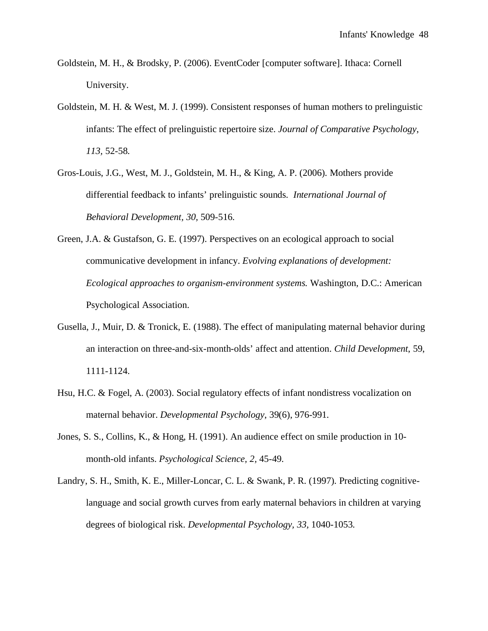- Goldstein, M. H., & Brodsky, P. (2006). EventCoder [computer software]. Ithaca: Cornell University.
- Goldstein, M. H. & West, M. J. (1999). Consistent responses of human mothers to prelinguistic infants: The effect of prelinguistic repertoire size. *Journal of Comparative Psychology*, *113,* 52-58.
- Gros-Louis, J.G., West, M. J., Goldstein, M. H., & King, A. P. (2006). Mothers provide differential feedback to infants' prelinguistic sounds. *International Journal of Behavioral Development, 30,* 509-516.
- Green, J.A. & Gustafson, G. E. (1997). Perspectives on an ecological approach to social communicative development in infancy. *Evolving explanations of development: Ecological approaches to organism-environment systems.* Washington, D.C.: American Psychological Association.
- Gusella, J., Muir, D. & Tronick, E. (1988). The effect of manipulating maternal behavior during an interaction on three-and-six-month-olds' affect and attention. *Child Development*, 59, 1111-1124.
- Hsu, H.C. & Fogel, A. (2003). Social regulatory effects of infant nondistress vocalization on maternal behavior. *Developmental Psychology*, 39(6), 976-991.
- Jones, S. S., Collins, K., & Hong, H. (1991). An audience effect on smile production in 10 month-old infants. *Psychological Science, 2,* 45-49.
- Landry, S. H., Smith, K. E., Miller-Loncar, C. L. & Swank, P. R. (1997). Predicting cognitivelanguage and social growth curves from early maternal behaviors in children at varying degrees of biological risk. *Developmental Psychology, 33,* 1040-1053.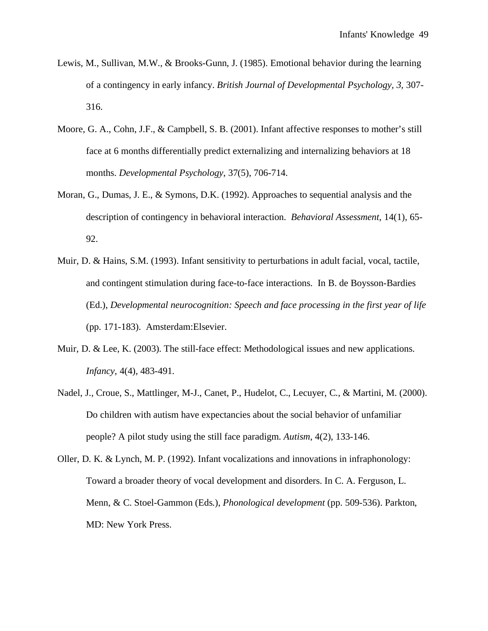- Lewis, M., Sullivan, M.W., & Brooks-Gunn, J. (1985). Emotional behavior during the learning of a contingency in early infancy. *British Journal of Developmental Psychology, 3,* 307- 316.
- Moore, G. A., Cohn, J.F., & Campbell, S. B. (2001). Infant affective responses to mother's still face at 6 months differentially predict externalizing and internalizing behaviors at 18 months. *Developmental Psychology*, 37(5), 706-714.
- Moran, G., Dumas, J. E., & Symons, D.K. (1992). Approaches to sequential analysis and the description of contingency in behavioral interaction. *Behavioral Assessment*, 14(1), 65- 92.
- Muir, D. & Hains, S.M. (1993). Infant sensitivity to perturbations in adult facial, vocal, tactile, and contingent stimulation during face-to-face interactions. In B. de Boysson-Bardies (Ed.), *Developmental neurocognition: Speech and face processing in the first year of life* (pp. 171-183). Amsterdam:Elsevier.
- Muir, D. & Lee, K. (2003). The still-face effect: Methodological issues and new applications. *Infancy*, 4(4), 483-491.
- Nadel, J., Croue, S., Mattlinger, M-J., Canet, P., Hudelot, C., Lecuyer, C., & Martini, M. (2000). Do children with autism have expectancies about the social behavior of unfamiliar people? A pilot study using the still face paradigm. *Autism*, 4(2), 133-146.
- Oller, D. K. & Lynch, M. P. (1992). Infant vocalizations and innovations in infraphonology: Toward a broader theory of vocal development and disorders. In C. A. Ferguson, L. Menn, & C. Stoel-Gammon (Eds.), *Phonological development* (pp. 509-536). Parkton, MD: New York Press.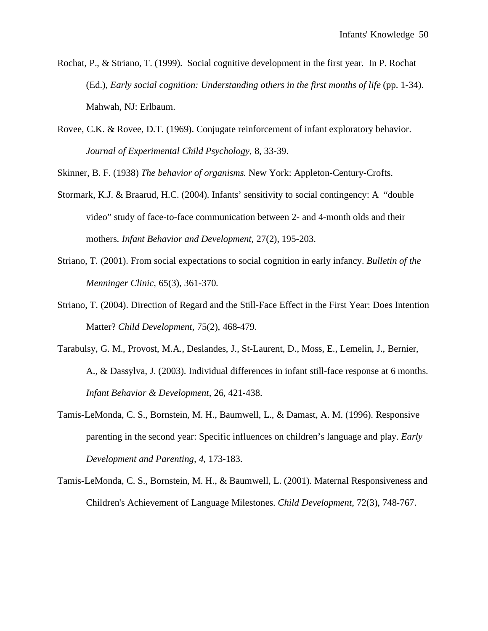- Rochat, P., & Striano, T. (1999). Social cognitive development in the first year. In P. Rochat (Ed.), *Early social cognition: Understanding others in the first months of life* (pp. 1-34). Mahwah, NJ: Erlbaum.
- Rovee, C.K. & Rovee, D.T. (1969). Conjugate reinforcement of infant exploratory behavior. *Journal of Experimental Child Psychology*, 8, 33-39.

Skinner, B. F. (1938) *The behavior of organisms.* New York: Appleton-Century-Crofts.

- Stormark, K.J. & Braarud, H.C. (2004). Infants' sensitivity to social contingency: A "double video" study of face-to-face communication between 2- and 4-month olds and their mothers. *Infant Behavior and Development*, 27(2), 195-203.
- Striano, T. (2001). From social expectations to social cognition in early infancy. *Bulletin of the Menninger Clinic*, 65(3), 361-370.
- Striano, T. (2004). Direction of Regard and the Still-Face Effect in the First Year: Does Intention Matter? *Child Development,* 75(2), 468-479.
- Tarabulsy, G. M., Provost, M.A., Deslandes, J., St-Laurent, D., Moss, E., Lemelin, J., Bernier, A., & Dassylva, J. (2003). Individual differences in infant still-face response at 6 months. *Infant Behavior & Development*, 26, 421-438.
- Tamis-LeMonda, C. S., Bornstein, M. H., Baumwell, L., & Damast, A. M. (1996). Responsive parenting in the second year: Specific influences on children's language and play. *Early Development and Parenting, 4,* 173-183.
- Tamis-LeMonda, C. S., Bornstein, M. H., & Baumwell, L. (2001). Maternal Responsiveness and Children's Achievement of Language Milestones. *Child Development*, 72(3), 748-767.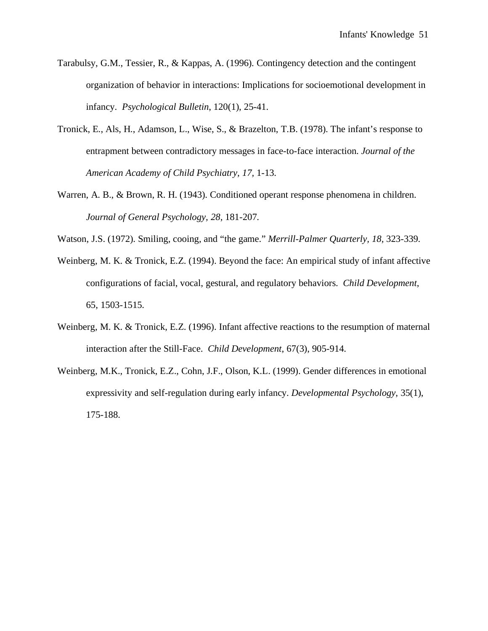- Tarabulsy, G.M., Tessier, R., & Kappas, A. (1996). Contingency detection and the contingent organization of behavior in interactions: Implications for socioemotional development in infancy. *Psychological Bulletin*, 120(1), 25-41.
- Tronick, E., Als, H., Adamson, L., Wise, S., & Brazelton, T.B. (1978). The infant's response to entrapment between contradictory messages in face-to-face interaction. *Journal of the American Academy of Child Psychiatry, 17,* 1-13.
- Warren, A. B., & Brown, R. H. (1943). Conditioned operant response phenomena in children. *Journal of General Psychology, 28,* 181-207.
- Watson, J.S. (1972). Smiling, cooing, and "the game." *Merrill-Palmer Quarterly, 18,* 323-339.
- Weinberg, M. K. & Tronick, E.Z. (1994). Beyond the face: An empirical study of infant affective configurations of facial, vocal, gestural, and regulatory behaviors. *Child Development*, 65, 1503-1515.
- Weinberg, M. K. & Tronick, E.Z. (1996). Infant affective reactions to the resumption of maternal interaction after the Still-Face. *Child Development*, 67(3), 905-914.
- Weinberg, M.K., Tronick, E.Z., Cohn, J.F., Olson, K.L. (1999). Gender differences in emotional expressivity and self-regulation during early infancy. *Developmental Psychology*, 35(1), 175-188.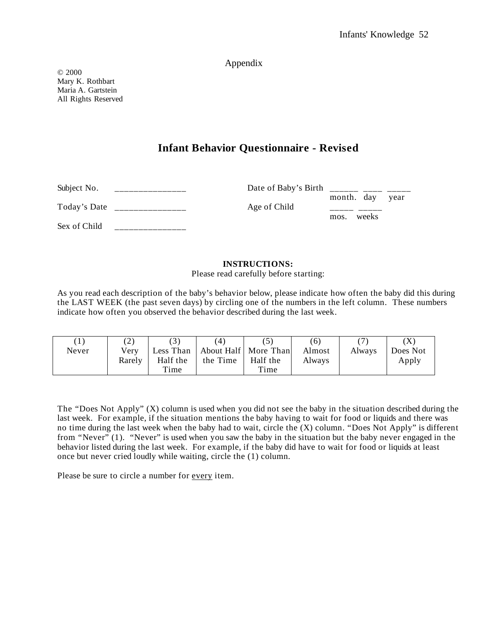## Appendix

© 2000 Mary K. Rothbart Maria A. Gartstein All Rights Reserved

# **Infant Behavior Questionnaire - Revised**

| Subject No.  | Date of Baby's Birth |                               |
|--------------|----------------------|-------------------------------|
| Today's Date | Age of Child         | month. day year<br>mos. weeks |
| Sex of Child |                      |                               |

### **INSTRUCTIONS:**

Please read carefully before starting:

As you read each description of the baby's behavior below, please indicate how often the baby did this during the LAST WEEK (the past seven days) by circling one of the numbers in the left column. These numbers indicate how often you observed the behavior described during the last week.

| $\left(1\right)$ | $\left( 2\right)$ |           | $\overline{4}$ |                        | (6)    |        | $\left( \mathrm{X}\right)$ |
|------------------|-------------------|-----------|----------------|------------------------|--------|--------|----------------------------|
| Never            | Verv              | Less Than |                | About Half   More Than | Almost | Always | Does Not                   |
|                  | Rarely            | Half the  | the Time       | Half the               | Always |        | Apply                      |
|                  |                   | Time      |                | Time                   |        |        |                            |

The "Does Not Apply" (X) column is used when you did not see the baby in the situation described during the last week. For example, if the situation mentions the baby having to wait for food or liquids and there was no time during the last week when the baby had to wait, circle the (X) column. "Does Not Apply" is different from "Never" (1). "Never" is used when you saw the baby in the situation but the baby never engaged in the behavior listed during the last week. For example, if the baby did have to wait for food or liquids at least once but never cried loudly while waiting, circle the (1) column.

Please be sure to circle a number for every item.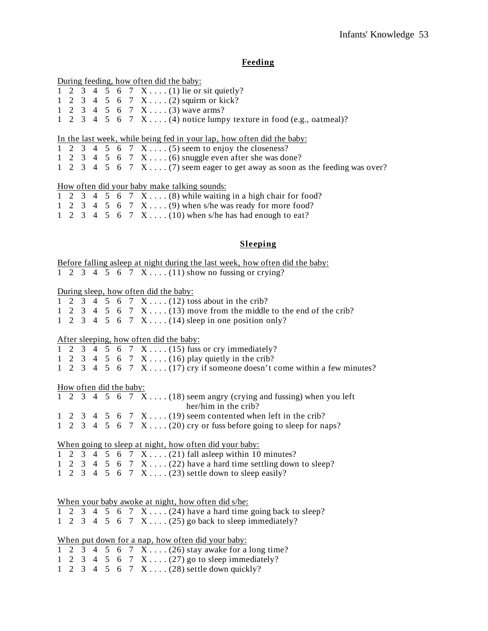## **Feeding**

|  |  |  | During feeding, how often did the baby:                                       |
|--|--|--|-------------------------------------------------------------------------------|
|  |  |  | 1 2 3 4 5 6 7 X  (1) lie or sit quietly?                                      |
|  |  |  | 1 2 3 4 5 6 7 X  (2) squirm or kick?                                          |
|  |  |  | 1 2 3 4 5 6 7 X (3) wave arms?                                                |
|  |  |  | 1 2 3 4 5 6 7 X  (4) notice lumpy texture in food (e.g., oatmeal)?            |
|  |  |  | In the last week, while being fed in your lap, how often did the baby:        |
|  |  |  | 1 2 3 4 5 6 7 $X$ (5) seem to enjoy the closeness?                            |
|  |  |  | 1 2 3 4 5 6 7 $X$ (6) snuggle even after she was done?                        |
|  |  |  | 1 2 3 4 5 6 7 $X$ (7) seem eager to get away as soon as the feeding was over? |
|  |  |  | <u>How often did your baby make talking sounds:</u>                           |
|  |  |  | 1 2 3 4 5 6 7 $X \dots (8)$ while waiting in a high chair for food?           |
|  |  |  | 1 2 3 4 5 6 7 $X$ (9) when s/he was ready for more food?                      |
|  |  |  | 1 2 3 4 5 6 7 $X$ (10) when s/he has had enough to eat?                       |
|  |  |  |                                                                               |
|  |  |  | Sleeping                                                                      |

Before falling asleep at night during the last week, how often did the baby: 1 2 3 4 5 6 7 X . . . . (11) show no fussing or crying?

## During sleep, how often did the baby:

|  |  |  | 1 2 3 4 5 6 7 X (12) toss about in the crib?                        |
|--|--|--|---------------------------------------------------------------------|
|  |  |  | 1 2 3 4 5 6 7 $X$ (13) move from the middle to the end of the crib? |
|  |  |  | 1 2 3 4 5 6 7 $X \dots (14)$ sleep in one position only?            |

# After sleeping, how often did the baby:

|  |  |  | 1 2 3 4 5 6 7 $X$ (15) fuss or cry immediately?                          |
|--|--|--|--------------------------------------------------------------------------|
|  |  |  | 1 2 3 4 5 6 7 X (16) play quietly in the crib?                           |
|  |  |  | 1 2 3 4 5 6 7 $X$ (17) cry if someone doesn't come within a few minutes? |

### How often did the baby:

|  |  |  | 1 2 3 4 5 6 7 $X$ (18) seem angry (crying and fussing) when you left |
|--|--|--|----------------------------------------------------------------------|
|  |  |  | her/him in the crib?                                                 |
|  |  |  | 1 2 3 4 5 6 7 $X$ (19) seem contented when left in the crib?         |
|  |  |  | 1 2 3 4 5 6 7 $X$ (20) cry or fuss before going to sleep for naps?   |
|  |  |  |                                                                      |

# When going to sleep at night, how often did your baby:

|  |  |  | 1 2 3 4 5 6 7 $X$ (21) fall as leep within 10 minutes?          |
|--|--|--|-----------------------------------------------------------------|
|  |  |  | 1 2 3 4 5 6 7 X $(22)$ have a hard time settling down to sleep? |
|  |  |  | 1 2 3 4 5 6 7 $X \dots (23)$ settle down to sleep easily?       |

|  |  |  | When your baby awoke at night, how often did s/he:           |
|--|--|--|--------------------------------------------------------------|
|  |  |  | 1 2 3 4 5 6 7 $X$ (24) have a hard time going back to sleep? |
|  |  |  | 1 2 3 4 5 6 7 $X$ (25) go back to sleep immediately?         |

|  |  |  | When put down for a nap, how often did your baby: |
|--|--|--|---------------------------------------------------|
|  |  |  | 1 2 3 4 5 6 7 X (26) stay awake for a long time?  |
|  |  |  | 1 2 3 4 5 6 7 $X$ (27) go to sleep immediately?   |
|  |  |  | 1 2 3 4 5 6 7 X  (28) settle down quickly?        |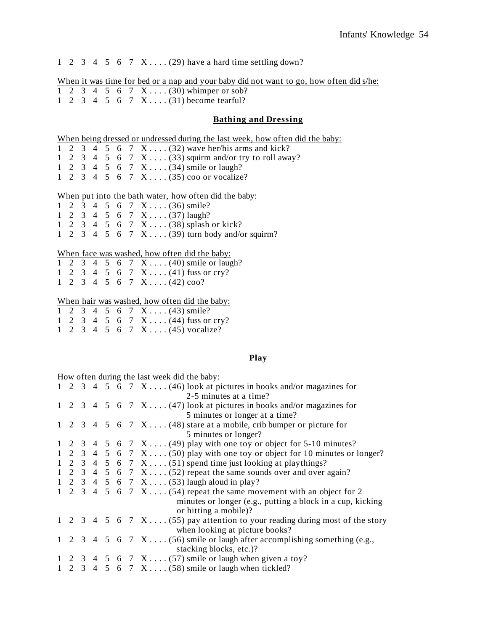1 2 3 4 5 6 7  $X$ .... (29) have a hard time settling down?

When it was time for bed or a nap and your baby did not want to go, how often did s/he: 1 2 3 4 5 6 7 X . . . . (30) whimper or sob? 1 2 3 4 5 6 7 X . . . . (31) become tearful?

### **Bathing and Dressing**

| When being dressed or undressed during the last week, how often did the baby: |  |  |
|-------------------------------------------------------------------------------|--|--|
|                                                                               |  |  |

- 1 2 3 4 5 6 7 X . . . . (32) wave her/his arms and kick?
- 1 2 3 4 5 6 7 X . . . . (33) squirm and/or try to roll away?
- 1 2 3 4 5 6 7 X . . . . (34) smile or laugh?
- 1 2 3 4 5 6 7 X . . . . (35) coo or vocalize?

#### When put into the bath water, how often did the baby:

1 2 3 4 5 6 7 X . . . . (36) smile? 1 2 3 4 5 6 7 X . . . . (37) laugh? 1 2 3 4 5 6 7 X . . . . (38) splash or kick? 1 2 3 4 5 6 7 X . . . . (39) turn body and/or squirm?

#### When face was washed, how often did the baby:

|  |  |  | 1 2 3 4 5 6 7 X  (40) smile or laugh?               |
|--|--|--|-----------------------------------------------------|
|  |  |  | 1 2 3 4 5 6 7 X (41) fuss or cry?                   |
|  |  |  | $1 \t2 \t3 \t4 \t5 \t6 \t7 \t X \ldots (42) \cos^2$ |

## When hair was washed, how often did the baby

|  |  |  | When hair was washed, how often did the baby: |
|--|--|--|-----------------------------------------------|
|  |  |  | 1 2 3 4 5 6 7 X (43) smile?                   |
|  |  |  | 1 2 3 4 5 6 7 X (44) fuss or cry?             |
|  |  |  | 1 2 3 4 5 6 7 X (45) vocalize?                |

### **Play**

| 1 2 3 4 5 6 7 X (46) look at pictures in books and/or magazines for<br>2-5 minutes at a time?<br>1 2 3 4 5 6 7 $X$ (47) look at pictures in books and/or magazines for<br>5 minutes or longer at a time?<br>1 2 3 4 5 6 7 $X$ (48) stare at a mobile, crib bumper or picture for<br>5 minutes or longer?<br>1 2 3 4 5 6 7 X  (49) play with one toy or object for 5-10 minutes?<br>1 2 3 4 5 6 7 $X$ (50) play with one toy or object for 10 minutes or longer?<br>1 2 3 4 5 6 7 $X$ (51) spend time just looking at playthings?<br>1 2 3 4 5 6 7 $X \dots (52)$ repeat the same sounds over and over again?<br>1 2 3 4 5 6 7 $X$ (53) laugh aloud in play?<br>1 2 3 4 5 6 7 $X$ (54) repeat the same movement with an object for 2<br>or hitting a mobile)?<br>1 2 3 4 5 6 7 $X$ (55) pay attention to your reading during most of the story<br>when looking at picture books? |  |  |  | How often during the last week did the baby:                                     |
|---------------------------------------------------------------------------------------------------------------------------------------------------------------------------------------------------------------------------------------------------------------------------------------------------------------------------------------------------------------------------------------------------------------------------------------------------------------------------------------------------------------------------------------------------------------------------------------------------------------------------------------------------------------------------------------------------------------------------------------------------------------------------------------------------------------------------------------------------------------------------------|--|--|--|----------------------------------------------------------------------------------|
|                                                                                                                                                                                                                                                                                                                                                                                                                                                                                                                                                                                                                                                                                                                                                                                                                                                                                 |  |  |  |                                                                                  |
|                                                                                                                                                                                                                                                                                                                                                                                                                                                                                                                                                                                                                                                                                                                                                                                                                                                                                 |  |  |  |                                                                                  |
|                                                                                                                                                                                                                                                                                                                                                                                                                                                                                                                                                                                                                                                                                                                                                                                                                                                                                 |  |  |  |                                                                                  |
|                                                                                                                                                                                                                                                                                                                                                                                                                                                                                                                                                                                                                                                                                                                                                                                                                                                                                 |  |  |  |                                                                                  |
|                                                                                                                                                                                                                                                                                                                                                                                                                                                                                                                                                                                                                                                                                                                                                                                                                                                                                 |  |  |  |                                                                                  |
|                                                                                                                                                                                                                                                                                                                                                                                                                                                                                                                                                                                                                                                                                                                                                                                                                                                                                 |  |  |  |                                                                                  |
|                                                                                                                                                                                                                                                                                                                                                                                                                                                                                                                                                                                                                                                                                                                                                                                                                                                                                 |  |  |  |                                                                                  |
|                                                                                                                                                                                                                                                                                                                                                                                                                                                                                                                                                                                                                                                                                                                                                                                                                                                                                 |  |  |  |                                                                                  |
|                                                                                                                                                                                                                                                                                                                                                                                                                                                                                                                                                                                                                                                                                                                                                                                                                                                                                 |  |  |  |                                                                                  |
|                                                                                                                                                                                                                                                                                                                                                                                                                                                                                                                                                                                                                                                                                                                                                                                                                                                                                 |  |  |  |                                                                                  |
|                                                                                                                                                                                                                                                                                                                                                                                                                                                                                                                                                                                                                                                                                                                                                                                                                                                                                 |  |  |  |                                                                                  |
|                                                                                                                                                                                                                                                                                                                                                                                                                                                                                                                                                                                                                                                                                                                                                                                                                                                                                 |  |  |  |                                                                                  |
|                                                                                                                                                                                                                                                                                                                                                                                                                                                                                                                                                                                                                                                                                                                                                                                                                                                                                 |  |  |  | minutes or longer (e.g., putting a block in a cup, kicking                       |
|                                                                                                                                                                                                                                                                                                                                                                                                                                                                                                                                                                                                                                                                                                                                                                                                                                                                                 |  |  |  |                                                                                  |
|                                                                                                                                                                                                                                                                                                                                                                                                                                                                                                                                                                                                                                                                                                                                                                                                                                                                                 |  |  |  |                                                                                  |
|                                                                                                                                                                                                                                                                                                                                                                                                                                                                                                                                                                                                                                                                                                                                                                                                                                                                                 |  |  |  |                                                                                  |
|                                                                                                                                                                                                                                                                                                                                                                                                                                                                                                                                                                                                                                                                                                                                                                                                                                                                                 |  |  |  | 1 2 3 4 5 6 7 $X \dots (56)$ smile or laugh after accomplishing something (e.g., |
| stacking blocks, etc.)?                                                                                                                                                                                                                                                                                                                                                                                                                                                                                                                                                                                                                                                                                                                                                                                                                                                         |  |  |  |                                                                                  |
| 1 2 3 4 5 6 7 $X \dots (57)$ smile or laugh when given a toy?                                                                                                                                                                                                                                                                                                                                                                                                                                                                                                                                                                                                                                                                                                                                                                                                                   |  |  |  |                                                                                  |
| 1 2 3 4 5 6 7 $X$ (58) smile or laugh when tickled?                                                                                                                                                                                                                                                                                                                                                                                                                                                                                                                                                                                                                                                                                                                                                                                                                             |  |  |  |                                                                                  |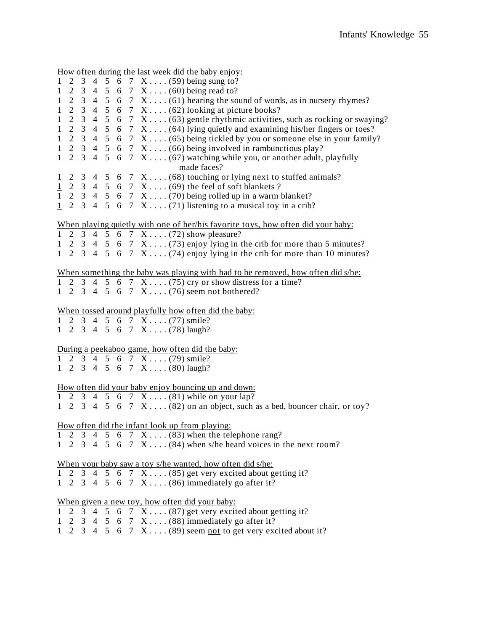How often during the last week did the baby enjoy: 1 2 3 4 5 6 7 X . . . . (59) being sung to? 1 2 3 4 5 6 7 X . . . . (60) being read to? 1 2 3 4 5 6 7  $X$ .... $(61)$  hearing the sound of words, as in nursery rhymes? 1 2 3 4 5 6 7  $X$ .... (62) looking at picture books? 1 2 3 4 5 6 7  $X \dots (63)$  gentle rhythmic activities, such as rocking or swaying? 1 2 3 4 5 6 7  $X$ .... (64) lying quietly and examining his/her fingers or toes? 1 2 3 4 5 6 7 X . . . . (65) being tickled by you or someone else in your family? 1 2 3 4 5 6 7  $X$ .... (66) being involved in rambunctious play? 1 2 3 4 5 6 7  $X$ ....(67) watching while you, or another adult, playfully made faces?  $1 \quad 2 \quad 3 \quad 4 \quad 5 \quad 6 \quad 7 \quad X \ldots$  (68) touching or lying next to stuffed animals? 1 2 3 4 5 6 7 X . . . . (69) the feel of soft blankets ?  $1 \quad 2 \quad 3 \quad 4 \quad 5 \quad 6 \quad 7 \quad X \ldots$  (70) being rolled up in a warm blanket?  $\overline{1}$  2 3 4 5 6 7 X . . . . (71) listening to a musical toy in a crib? When playing quietly with one of her/his favorite toys, how often did your baby: 1 2 3 4 5 6 7 X . . . . (72) show pleasure? 1 2 3 4 5 6 7  $X$ ....(73) enjoy lying in the crib for more than 5 minutes? 1 2 3 4 5 6 7  $X \dots (74)$  enjoy lying in the crib for more than 10 minutes? When something the baby was playing with had to be removed, how often did s/he: 1 2 3 4 5 6 7 X . . . . (75) cry or show distress for a time? 1 2 3 4 5 6 7 X . . . . (76) seem not bothered? When tossed around playfully how often did the baby:  $1 \quad 2 \quad 3 \quad 4 \quad 5 \quad 6 \quad 7 \quad X \ldots (77) \text{smile?}$ 1 2 3 4 5 6 7 X . . . . (78) laugh? During a peekaboo game, how often did the baby: 1 2 3 4 5 6 7 X . . . . (79) smile? 1 2 3 4 5 6 7 X . . . . (80) laugh? How often did your baby enjoy bouncing up and down: 1 2 3 4 5 6 7 X . . . . (81) while on your lap? 1 2 3 4 5 6 7  $X \dots (82)$  on an object, such as a bed, bouncer chair, or toy? How often did the infant look up from playing: 1 2 3 4 5 6 7 X . . . . (83) when the telephone rang? 1 2 3 4 5 6 7  $X$ .... (84) when s/he heard voices in the next room? When your baby saw a toy s/he wanted, how often did s/he: 1 2 3 4 5 6 7 X . . . . (85) get very excited about getting it? 1 2 3 4 5 6 7 X . . . . (86) immediately go after it? When given a new toy, how often did your baby: 1 2 3 4 5 6 7 X . . . . (87) get very excited about getting it? 1 2 3 4 5 6 7 X . . . . (88) immediately go after it? 1 2 3 4 5 6 7  $X$ .... (89) seem not to get very excited about it?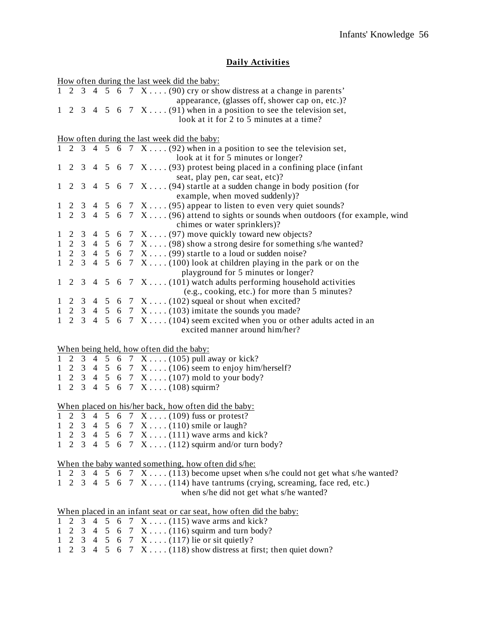# **Daily Activities**

|              |   |                |  |  | How often during the last week did the baby:                                                                        |
|--------------|---|----------------|--|--|---------------------------------------------------------------------------------------------------------------------|
|              |   |                |  |  | 1 2 3 4 5 6 7 $X \dots (90)$ cry or show distress at a change in parents'                                           |
|              |   |                |  |  | appearance, (glasses off, shower cap on, etc.)?                                                                     |
|              |   |                |  |  | 1 2 3 4 5 6 7 $X$ (91) when in a position to see the television set,                                                |
|              |   |                |  |  | look at it for 2 to 5 minutes at a time?                                                                            |
|              |   |                |  |  |                                                                                                                     |
|              |   |                |  |  | How often during the last week did the baby:                                                                        |
|              |   |                |  |  | 1 2 3 4 5 6 7 $X \dots (92)$ when in a position to see the television set,                                          |
|              |   |                |  |  | look at it for 5 minutes or longer?                                                                                 |
|              |   |                |  |  | 1 2 3 4 5 6 7 $X$ (93) protest being placed in a confining place (infant                                            |
|              |   |                |  |  | seat, play pen, car seat, etc)?                                                                                     |
|              |   |                |  |  | 1 2 3 4 5 6 7 $X$ (94) startle at a sudden change in body position (for                                             |
|              |   |                |  |  | example, when moved suddenly)?                                                                                      |
|              |   |                |  |  | 1 2 3 4 5 6 7 $X \dots (95)$ appear to listen to even very quiet sounds?                                            |
|              |   |                |  |  | 1 2 3 4 5 6 7 X (96) attend to sights or sounds when outdoors (for example, wind                                    |
|              |   |                |  |  | chimes or water sprinklers)?                                                                                        |
|              |   |                |  |  | 1 2 3 4 5 6 7 $X$ (97) move quickly toward new objects?                                                             |
|              |   |                |  |  | 1 2 3 4 5 6 7 X  (98) show a strong desire for something s/he wanted?                                               |
|              |   |                |  |  | 1 2 3 4 5 6 7 $X$ (99) startle to a loud or sudden noise?                                                           |
|              |   |                |  |  | 1 2 3 4 5 6 7 $X$ (100) look at children playing in the park or on the                                              |
|              |   |                |  |  | playground for 5 minutes or longer?                                                                                 |
|              |   |                |  |  | 1 2 3 4 5 6 7 $X$ (101) watch adults performing household activities                                                |
|              |   |                |  |  | (e.g., cooking, etc.) for more than 5 minutes?                                                                      |
|              |   |                |  |  |                                                                                                                     |
|              |   |                |  |  | 1 2 3 4 5 6 7 $X \dots (102)$ squeal or shout when excited?<br>1 2 3 4 5 6 7 $X$ (103) imitate the sounds you made? |
|              |   |                |  |  |                                                                                                                     |
|              |   |                |  |  | 1 2 3 4 5 6 7 $X$ (104) seem excited when you or other adults acted in an                                           |
|              |   |                |  |  | excited manner around him/her?                                                                                      |
|              |   |                |  |  |                                                                                                                     |
|              |   |                |  |  | When being held, how often did the baby:<br>1 2 3 4 5 6 7 X  (105) pull away or kick?                               |
|              |   |                |  |  |                                                                                                                     |
|              |   |                |  |  | 1 2 3 4 5 6 7 $X$ (106) seem to enjoy him/herself?                                                                  |
|              |   |                |  |  | 1 2 3 4 5 6 7 X  (107) mold to your body?<br>1 2 3 4 5 6 7 X  (108) squirm?                                         |
|              |   |                |  |  |                                                                                                                     |
|              |   |                |  |  |                                                                                                                     |
|              |   |                |  |  | When placed on his/her back, how often did the baby:                                                                |
|              |   |                |  |  | 1 2 3 4 5 6 7 X  (109) fuss or protest?                                                                             |
|              |   |                |  |  | 1 2 3 4 5 6 7 X  (110) smile or laugh?                                                                              |
|              |   |                |  |  | 1 2 3 4 5 6 7 $X$ (111) wave arms and kick?                                                                         |
|              |   |                |  |  | 1 2 3 4 5 6 7 $X$ (112) squirm and/or turn body?                                                                    |
|              |   |                |  |  |                                                                                                                     |
|              |   |                |  |  | When the baby wanted something, how often did s/he:                                                                 |
|              |   |                |  |  | 1 2 3 4 5 6 7 $X$ (113) become upset when s/he could not get what s/he wanted?                                      |
|              |   |                |  |  | 1 2 3 4 5 6 7 $X$ (114) have tantrums (crying, screaming, face red, etc.)                                           |
|              |   |                |  |  | when s/he did not get what s/he wanted?                                                                             |
|              |   |                |  |  |                                                                                                                     |
|              |   |                |  |  | When placed in an infant seat or car seat, how often did the baby:                                                  |
| $\mathbf{1}$ | 2 | $\overline{3}$ |  |  | 4 5 6 7 $X$ (115) wave arms and kick?                                                                               |
| $\mathbf{1}$ | 2 |                |  |  | 3 4 5 6 7 X  (116) squirm and turn body?                                                                            |
|              |   |                |  |  | 1 2 3 4 5 6 7 X  (117) lie or sit quietly?                                                                          |
| 1            |   |                |  |  | 2 3 4 5 6 7 $X$ (118) show distress at first; then quiet down?                                                      |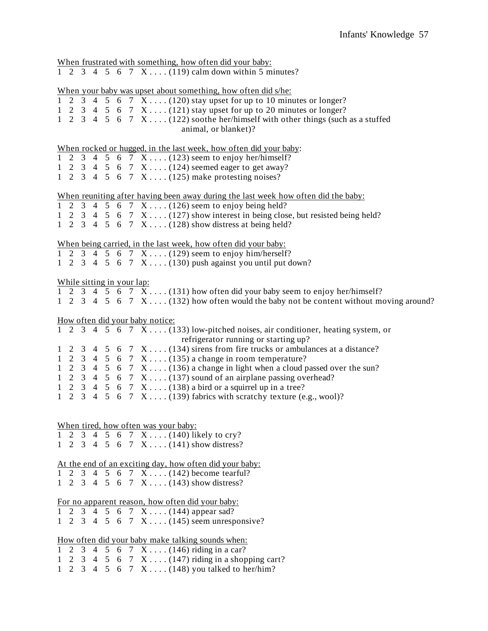| When frustrated with something, how often did your baby:<br>1 2 3 4 5 6 7 $X$ (119) calm down within 5 minutes?                                                                                                                                                                                                                                                                                                                                                                                                                                                                                                                |
|--------------------------------------------------------------------------------------------------------------------------------------------------------------------------------------------------------------------------------------------------------------------------------------------------------------------------------------------------------------------------------------------------------------------------------------------------------------------------------------------------------------------------------------------------------------------------------------------------------------------------------|
| When your baby was upset about something, how often did s/he:<br>1 2 3 4 5 6 7 $\overline{X}$ (120) stay upset for up to 10 minutes or longer?<br>1 2 3 4 5 6 7 $X$ (121) stay upset for up to 20 minutes or longer?<br>1 2 3 4 5 6 7 $X$ (122) soothe her/himself with other things (such as a stuffed<br>animal, or blanket)?                                                                                                                                                                                                                                                                                                |
| When rocked or hugged, in the last week, how often did your baby:<br>1 2 3 4 5 6 7 X  (123) seem to enjoy her/himself?<br>1 2 3 4 5 6 7 X  (124) seemed eager to get away?<br>1 2 3 4 5 6 7 X $(125)$ make protesting noises?                                                                                                                                                                                                                                                                                                                                                                                                  |
| When reuniting after having been away during the last week how often did the baby:<br>1 2 3 4 5 6 7 X $(126)$ seem to enjoy being held?<br>1 2 3 4 5 6 7 $X$ (127) show interest in being close, but resisted being held?<br>1 2 3 4 5 6 7 X  (128) show distress at being held?                                                                                                                                                                                                                                                                                                                                               |
| When being carried, in the last week, how often did your baby:<br>1 2 3 4 5 6 7 X  (129) seem to enjoy him/herself?<br>1 2 3 4 5 6 7 $X$ (130) push against you until put down?                                                                                                                                                                                                                                                                                                                                                                                                                                                |
| While sitting in your lap:<br>1 2 3 4 5 6 7 X  (131) how often did your baby seem to enjoy her/himself?<br>1 2 3 4 5 6 7 X  (132) how often would the baby not be content without moving around?                                                                                                                                                                                                                                                                                                                                                                                                                               |
| How often did your baby notice:                                                                                                                                                                                                                                                                                                                                                                                                                                                                                                                                                                                                |
| 1 2 3 4 5 6 7 $X$ (133) low-pitched noises, air conditioner, heating system, or<br>refrigerator running or starting up?<br>2 3 4 5 6 7 $X$ (134) sirens from fire trucks or ambulances at a distance?<br>$\mathbf{1}$<br>2 3 4 5 6 7 $X$ (135) a change in room temperature?<br>$\mathbf{1}$<br>1 2 3 4 5 6 7 $X$ (136) a change in light when a cloud passed over the sun?<br>1 2 3 4 5 6 7 $X$ (137) sound of an airplane passing overhead?<br>2 3 4 5 6 7 $X$ (138) a bird or a squirrel up in a tree?<br>$\mathbf{1}$<br>3 4 5 6 7 $X$ (139) fabrics with scratchy texture (e.g., wool)?<br>$\mathbf{1}$<br>$\overline{2}$ |
| When tired, how often was your baby:                                                                                                                                                                                                                                                                                                                                                                                                                                                                                                                                                                                           |
| 1 2 3 4 5 6 7 X  (140) likely to cry?                                                                                                                                                                                                                                                                                                                                                                                                                                                                                                                                                                                          |
| 1 2 3 4 5 6 7 X $(141)$ show distress?                                                                                                                                                                                                                                                                                                                                                                                                                                                                                                                                                                                         |
| At the end of an exciting day, how often did your baby:<br>2 3 4 5 6 7 X  (142) become tearful?<br>$\mathbf{1}$<br>2 3 4 5 6 7 X  (143) show distress?                                                                                                                                                                                                                                                                                                                                                                                                                                                                         |
| For no apparent reason, how often did your baby:                                                                                                                                                                                                                                                                                                                                                                                                                                                                                                                                                                               |
| 2 3 4 5 6 7 X  (144) appear sad?<br>2 3 4 5 6 7 X  (145) seem unresponsive?                                                                                                                                                                                                                                                                                                                                                                                                                                                                                                                                                    |
| <u>How often did your baby make talking sounds when:</u>                                                                                                                                                                                                                                                                                                                                                                                                                                                                                                                                                                       |
| 3 4 5 6 7 X  (146) riding in a car?<br>$\overline{2}$<br>1                                                                                                                                                                                                                                                                                                                                                                                                                                                                                                                                                                     |
| 2 3 4 5 6 7 X $(147)$ riding in a shopping cart?<br>$\mathbf{1}$                                                                                                                                                                                                                                                                                                                                                                                                                                                                                                                                                               |
| 3 4 5 6 7 X (148) you talked to her/him?<br>1<br>2                                                                                                                                                                                                                                                                                                                                                                                                                                                                                                                                                                             |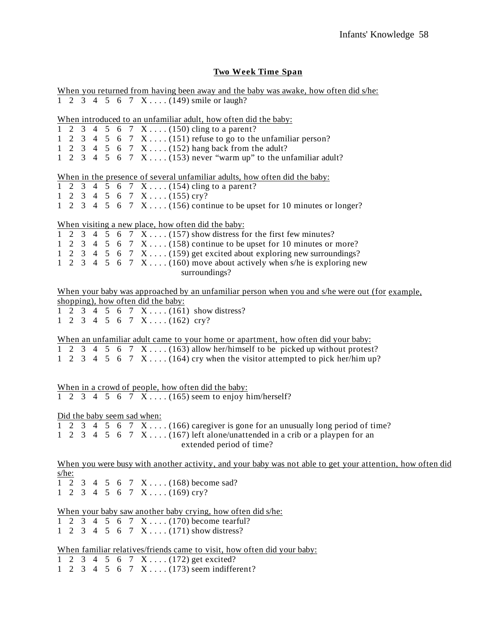# **Two Week Time Span**

| When you returned from having been away and the baby was awake, how often did s/he:                           |
|---------------------------------------------------------------------------------------------------------------|
| 1 2 3 4 5 6 7 X  (149) smile or laugh?                                                                        |
| When introduced to an unfamiliar adult, how often did the baby:                                               |
| 1 2 3 4 5 6 7 X  (150) cling to a parent?                                                                     |
| 1 2 3 4 5 6 7 $X$ (151) refuse to go to the unfamiliar person?                                                |
| 1 2 3 4 5 6 7 X  (152) hang back from the adult?                                                              |
| 1 2 3 4 5 6 7 $X \dots (153)$ never "warm up" to the unfamiliar adult?                                        |
| When in the presence of several unfamiliar adults, how often did the baby:                                    |
| 1 2 3 4 5 6 7 X  (154) cling to a parent?                                                                     |
| $1 \t2 \t3 \t4 \t5 \t6 \t7 \tX \ldots (155) \text{ cry?}$                                                     |
| 1 2 3 4 5 6 7 $X$ (156) continue to be upset for 10 minutes or longer?                                        |
| When visiting a new place, how often did the baby:                                                            |
| 1 2 3 4 5 6 7 $X \dots (157)$ show distress for the first few minutes?                                        |
| 1 2 3 4 5 6 7 $X$ (158) continue to be upset for 10 minutes or more?                                          |
| 1 2 3 4 5 6 7 $X$ (159) get excited about exploring new surroundings?                                         |
| 1 2 3 4 5 6 7 $X$ (160) move about actively when s/he is exploring new                                        |
| surroundings?                                                                                                 |
| When your baby was approached by an unfamiliar person when you and s/he were out (for example,                |
| shopping), how often did the baby:                                                                            |
| 1 2 3 4 5 6 7 X  (161) show distress?                                                                         |
| $1 \t2 \t3 \t4 \t5 \t6 \t7 \tX \ldots (162) \t0 \t0 \t0 \t0 \t1$                                              |
| When an unfamiliar adult came to your home or apartment, how often did your baby:                             |
| 1 2 3 4 5 6 7 $X$ (163) allow her/himself to be picked up without protest?                                    |
| 1 2 3 4 5 6 7 $X$ (164) cry when the visitor attempted to pick her/him up?                                    |
|                                                                                                               |
| When in a crowd of people, how often did the baby:                                                            |
| 1 2 3 4 5 6 7 X  (165) seem to enjoy him/herself?                                                             |
|                                                                                                               |
| Did the baby seem sad when:<br>1 2 3 4 5 6 7 X  (166) caregiver is gone for an unusually long period of time? |
| 1 2 3 4 5 6 7 $X$ (167) left alone/unattended in a crib or a playpen for an                                   |
|                                                                                                               |
| extended period of time?                                                                                      |
| When you were busy with another activity, and your baby was not able to get your attention, how often did     |
| s/he:                                                                                                         |
| 1 2 3 4 5 6 7 X $(168)$ become sad?                                                                           |
| 1 2 3 4 5 6 7 X (169) cry?                                                                                    |
| When your baby saw another baby crying, how often did s/he:                                                   |
| 1 2 3 4 5 6 7 $X$ (170) become tearful?                                                                       |
| 1 2 3 4 5 6 7 X (171) show distress?                                                                          |
| When familiar relatives/friends came to visit, how often did your baby:                                       |
| 3 4 5 6 7 X  (172) get excited?<br>$1\quad 2$                                                                 |
| 1 2 3 4 5 6 7 X $(173)$ seem indifferent?                                                                     |
|                                                                                                               |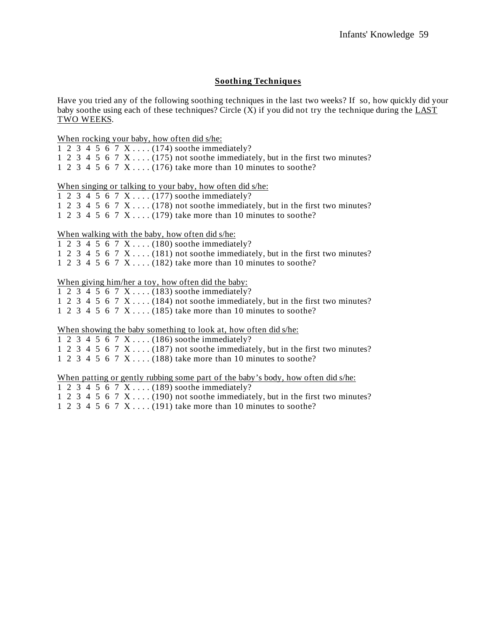### **Soothing Techniques**

Have you tried any of the following soothing techniques in the last two weeks? If so, how quickly did your baby soothe using each of these techniques? Circle  $(X)$  if you did not try the technique during the LAST TWO WEEKS.

#### When rocking your baby, how often did s/he:

|  |  |  | 1 2 3 4 5 6 7 X $(174)$ soothe immediately?                                 |
|--|--|--|-----------------------------------------------------------------------------|
|  |  |  | 1 2 3 4 5 6 7 X (175) not soothe immediately, but in the first two minutes? |
|  |  |  | 1 2 3 4 5 6 7 X $(176)$ take more than 10 minutes to soothe?                |

When singing or talking to your baby, how often did s/he:

|  |  |  |  |  |  |  |  | 1 2 3 4 5 6 7 X (177) soothe immediately? |  |
|--|--|--|--|--|--|--|--|-------------------------------------------|--|
|--|--|--|--|--|--|--|--|-------------------------------------------|--|

1 2 3 4 5 6 7 X . . . . (178) not soothe immediately, but in the first two minutes?

1 2 3 4 5 6 7 X  $\dots$  (179) take more than 10 minutes to soothe?

### When walking with the baby, how often did s/he:

|  |  |  | 1 2 3 4 5 6 7 X (180) soothe immediately?                                   |
|--|--|--|-----------------------------------------------------------------------------|
|  |  |  | 1 2 3 4 5 6 7 X (181) not soothe immediately, but in the first two minutes? |
|  |  |  | 1 2 3 4 5 6 7 X (182) take more than 10 minutes to soothe?                  |

#### When giving him/her a toy, how often did the baby:

| 1 2 3 4 5 6 7 X $(183)$ soothe immediately? |  |  |  |  |  |  |  |  |  |  |  |
|---------------------------------------------|--|--|--|--|--|--|--|--|--|--|--|
|---------------------------------------------|--|--|--|--|--|--|--|--|--|--|--|

1 2 3 4 5 6 7 X . . . . (184) not soothe immediately, but in the first two minutes?

1 2 3 4 5 6 7 X . . . . (185) take more than 10 minutes to soothe?

#### When showing the baby something to look at, how often did s/he:

|  |  |  | 1 2 3 4 5 6 7 X (186) soothe immediately?                                   |
|--|--|--|-----------------------------------------------------------------------------|
|  |  |  | 1 2 3 4 5 6 7 X (187) not soothe immediately, but in the first two minutes? |
|  |  |  | 1 2 3 4 5 6 7 X (188) take more than 10 minutes to soothe?                  |

#### When patting or gently rubbing some part of the baby's body, how often did s/he:

- 1 2 3 4 5 6 7 X . . . . (189) soothe immediately?
- 1 2 3 4 5 6 7 X . . . . (190) not soothe immediately, but in the first two minutes?
- 1 2 3 4 5 6 7 X . . . . (191) take more than 10 minutes to soothe?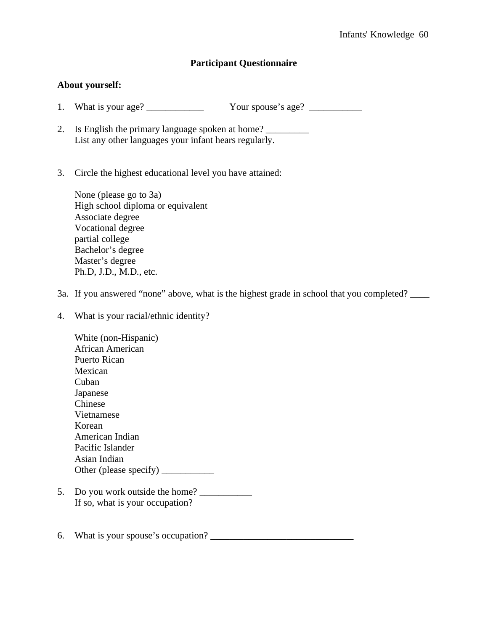# **Participant Questionnaire**

## **About yourself:**

- 1. What is your age? Your spouse's age?
- 2. Is English the primary language spoken at home? List any other languages your infant hears regularly.
- 3. Circle the highest educational level you have attained:

 None (please go to 3a) High school diploma or equivalent Associate degree Vocational degree partial college Bachelor's degree Master's degree Ph.D, J.D., M.D., etc.

3a. If you answered "none" above, what is the highest grade in school that you completed?

4. What is your racial/ethnic identity?

 White (non-Hispanic) African American Puerto Rican Mexican Cuban Japanese Chinese Vietnamese Korean American Indian Pacific Islander Asian Indian Other (please specify) \_\_\_\_\_\_\_\_\_\_\_

- 5. Do you work outside the home? If so, what is your occupation?
- 6. What is your spouse's occupation?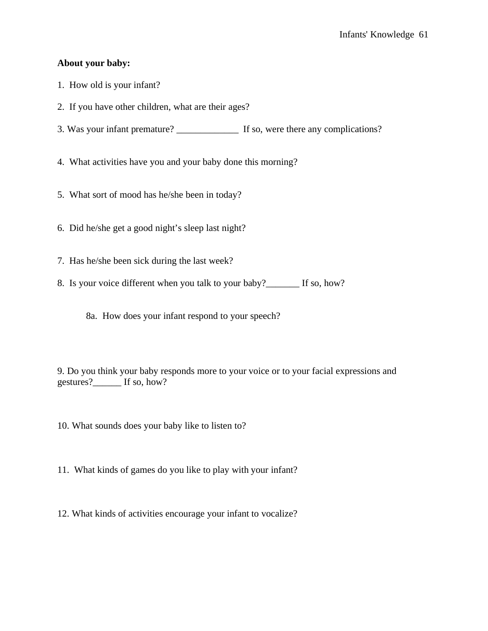## **About your baby:**

- 1. How old is your infant?
- 2. If you have other children, what are their ages?
- 3. Was your infant premature? \_\_\_\_\_\_\_\_\_\_\_\_\_ If so, were there any complications?

4. What activities have you and your baby done this morning?

- 5. What sort of mood has he/she been in today?
- 6. Did he/she get a good night's sleep last night?
- 7. Has he/she been sick during the last week?
- 8. Is your voice different when you talk to your baby?\_\_\_\_\_\_\_ If so, how?
	- 8a. How does your infant respond to your speech?

9. Do you think your baby responds more to your voice or to your facial expressions and gestures?\_\_\_\_\_\_ If so, how?

- 10. What sounds does your baby like to listen to?
- 11. What kinds of games do you like to play with your infant?
- 12. What kinds of activities encourage your infant to vocalize?